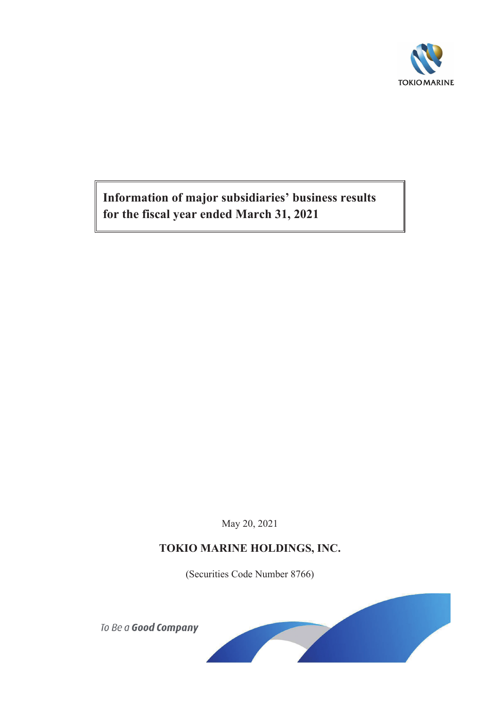

**Information of major subsidiaries' business results for the fiscal year ended March 31, 2021**

May 20, 2021

## **TOKIO MARINE HOLDINGS, INC.**

(Securities Code Number 8766)

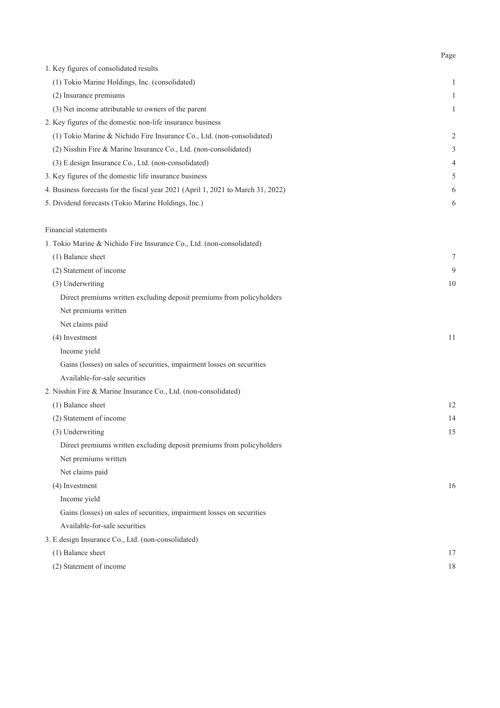| 1. Key figures of consolidated results                                           |                |
|----------------------------------------------------------------------------------|----------------|
| (1) Tokio Marine Holdings, Inc. (consolidated)                                   | 1              |
| (2) Insurance premiums                                                           | 1              |
| (3) Net income attributable to owners of the parent                              | 1              |
| 2. Key figures of the domestic non-life insurance business                       |                |
| (1) Tokio Marine & Nichido Fire Insurance Co., Ltd. (non-consolidated)           | $\overline{2}$ |
| (2) Nisshin Fire & Marine Insurance Co., Ltd. (non-consolidated)                 | 3              |
| (3) E.design Insurance Co., Ltd. (non-consolidated)                              | 4              |
| 3. Key figures of the domestic life insurance business                           | 5              |
| 4. Business forecasts for the fiscal year 2021 (April 1, 2021 to March 31, 2022) | 6              |
| 5. Dividend forecasts (Tokio Marine Holdings, Inc.)                              | 6              |
| Financial statements                                                             |                |
| 1. Tokio Marine & Nichido Fire Insurance Co., Ltd. (non-consolidated)            |                |
| (1) Balance sheet                                                                | 7              |
| (2) Statement of income                                                          | 9              |
| (3) Underwriting                                                                 | 10             |
| Direct premiums written excluding deposit premiums from policyholders            |                |
| Net premiums written                                                             |                |
| Net claims paid                                                                  |                |
| (4) Investment                                                                   | 11             |
| Income yield                                                                     |                |
| Gains (losses) on sales of securities, impairment losses on securities           |                |
| Available-for-sale securities                                                    |                |
| 2. Nisshin Fire & Marine Insurance Co., Ltd. (non-consolidated)                  |                |
| (1) Balance sheet                                                                | 12             |
| (2) Statement of income                                                          | 14             |
| (3) Underwriting                                                                 | 15             |
| Direct premiums written excluding deposit premiums from policyholders            |                |
| Net premiums written                                                             |                |
| Net claims paid                                                                  |                |
| (4) Investment                                                                   | 16             |
| Income yield                                                                     |                |
| Gains (losses) on sales of securities, impairment losses on securities           |                |
| Available-for-sale securities                                                    |                |
| 3. E.design Insurance Co., Ltd. (non-consolidated)                               |                |
| (1) Balance sheet                                                                | 17             |
| (2) Statement of income                                                          | 18             |

Page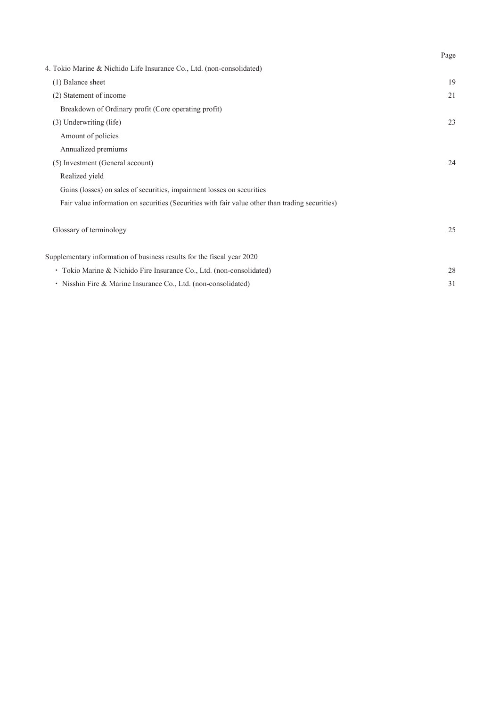|                                                                                                 | Page |
|-------------------------------------------------------------------------------------------------|------|
| 4. Tokio Marine & Nichido Life Insurance Co., Ltd. (non-consolidated)                           |      |
| (1) Balance sheet                                                                               | 19   |
| (2) Statement of income                                                                         | 21   |
| Breakdown of Ordinary profit (Core operating profit)                                            |      |
| (3) Underwriting (life)                                                                         | 23   |
| Amount of policies                                                                              |      |
| Annualized premiums                                                                             |      |
| (5) Investment (General account)                                                                | 24   |
| Realized yield                                                                                  |      |
| Gains (losses) on sales of securities, impairment losses on securities                          |      |
| Fair value information on securities (Securities with fair value other than trading securities) |      |
| Glossary of terminology                                                                         | 25   |
| Supplementary information of business results for the fiscal year 2020                          |      |
| • Tokio Marine & Nichido Fire Insurance Co., Ltd. (non-consolidated)                            | 28   |
| · Nisshin Fire & Marine Insurance Co., Ltd. (non-consolidated)                                  | 31   |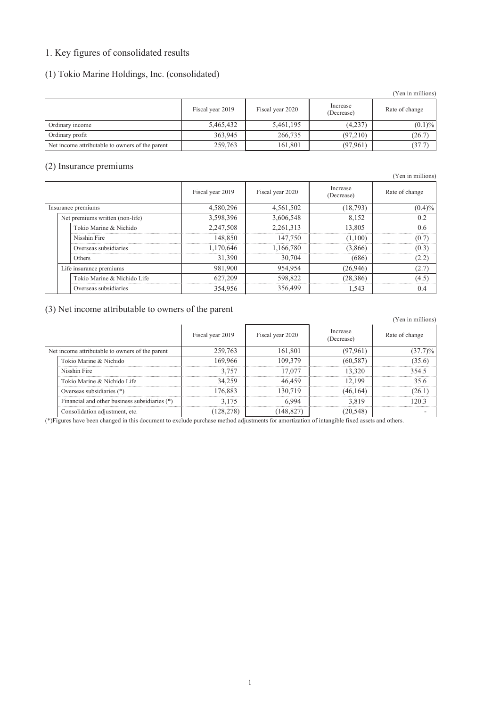## 1. Key figures of consolidated results

### (1) Tokio Marine Holdings, Inc. (consolidated)

|                                                 |                  |                  |                        | (Yen in millions) |
|-------------------------------------------------|------------------|------------------|------------------------|-------------------|
|                                                 | Fiscal year 2019 | Fiscal year 2020 | Increase<br>(Decrease) | Rate of change    |
| Ordinary income                                 | 5,465,432        | 5,461,195        | (4,237)                | $(0.1)\%$         |
| Ordinary profit                                 | 363,945          | 266,735          | (97,210)               | (26.7)            |
| Net income attributable to owners of the parent | 259,763          | 161,801          | (97, 961)              | (37.7)            |

### (2) Insurance premiums

|  |                                 |                  |                  |                        | $\left[1 \right]$ ch in minitons |
|--|---------------------------------|------------------|------------------|------------------------|----------------------------------|
|  |                                 | Fiscal year 2019 | Fiscal year 2020 | Increase<br>(Decrease) | Rate of change                   |
|  | Insurance premiums              | 4,580,296        | 4,561,502        | (18, 793)              | $(0.4)\%$                        |
|  | Net premiums written (non-life) | 3,598,396        | 3,606,548        | 8,152                  | 0.2                              |
|  | Tokio Marine & Nichido          | 2,247,508        | 2,261,313        | 13.805                 | 06                               |
|  | Nisshin Fire                    | 148.850          | 147.750          | (1.100)                | (O 7                             |
|  | Overseas subsidiaries           | 1.170.646        | 1.166.780        | (3.866)                | (0.3)                            |
|  | Others                          | 31.390           | 30.704           | (686)                  |                                  |
|  | Life insurance premiums         | 981,900          | 954.954          | (26,946)               | 12.7                             |
|  | Tokio Marine & Nichido Life     | 627,209          | 598,822          | (28, 386)              | (4.5)                            |
|  | Overseas subsidiaries           | 354,956          | 356,499          | 1.543                  | 04                               |

### (3) Net income attributable to owners of the parent

|                                                 |                                               |                  |                  |                        | I CII III IIIIIIIIOIIS) |
|-------------------------------------------------|-----------------------------------------------|------------------|------------------|------------------------|-------------------------|
|                                                 |                                               | Fiscal year 2019 | Fiscal year 2020 | Increase<br>(Decrease) | Rate of change          |
| Net income attributable to owners of the parent |                                               | 259.763          | 161.801          | (97.961)               |                         |
|                                                 | Tokio Marine & Nichido                        | 169.966          | 109.379          | (60.587)               |                         |
|                                                 | Nisshin Fire                                  | 3.757            | I 7.077          | 13.320                 | 354.5                   |
|                                                 | Tokio Marine & Nichido Life                   | 34.259           | 46 459           | 12.199                 | 35 R                    |
|                                                 | Overseas subsidiaries (*)                     | 176 883          | 130 719          | (46.164)               |                         |
|                                                 | Financial and other business subsidiaries (*) | 3 1 7 5          |                  | 3819                   |                         |
|                                                 | Consolidation adjustment, etc.                |                  |                  | 20.548°                |                         |

(\*)Figures have been changed in this document to exclude purchase method adjustments for amortization of intangible fixed assets and others.

## (Yen in millions)

(Yen in millions)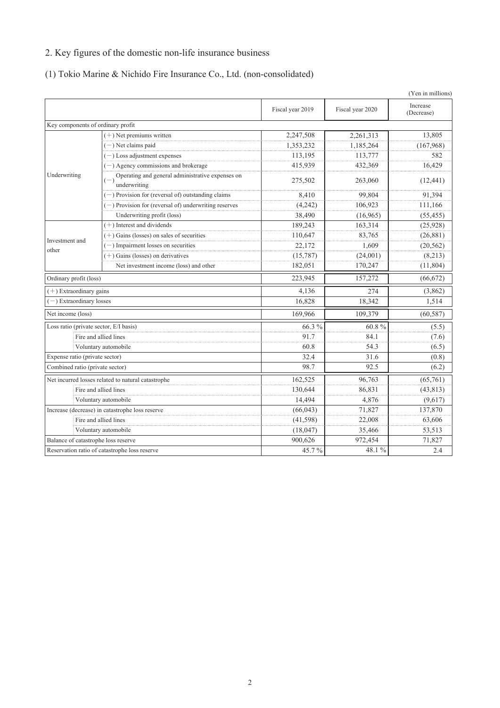## 2. Key figures of the domestic non-life insurance business

## (1) Tokio Marine & Nichido Fire Insurance Co., Ltd. (non-consolidated)

|                                        |                                                                           |                  |                  | (Yen in millions)      |
|----------------------------------------|---------------------------------------------------------------------------|------------------|------------------|------------------------|
|                                        |                                                                           | Fiscal year 2019 | Fiscal year 2020 | Increase<br>(Decrease) |
| Key components of ordinary profit      |                                                                           |                  |                  |                        |
|                                        | $(+)$ Net premiums written                                                | 2,247,508        | 2,261,313        | 13,805                 |
|                                        | $(-)$ Net claims paid                                                     | 1,353,232        | 1,185,264        | (167,968)              |
|                                        | $(-)$ Loss adjustment expenses                                            | 113.195          | 113,777          | 582                    |
|                                        | $(-)$ Agency commissions and brokerage                                    | 415,939          | 432,369          | 16,429                 |
| Underwriting                           | Operating and general administrative expenses on<br>$(-)$<br>underwriting | 275,502          | 263,060          | (12, 441)              |
|                                        | $(-)$ Provision for (reversal of) outstanding claims                      | 8,410            | 99,804           | 91,394                 |
|                                        | $(-)$ Provision for (reversal of) underwriting reserves                   | (4,242)          | 106,923          | 111,166                |
|                                        | Underwriting profit (loss)                                                | 38,490           | (16,965)         | (55, 455)              |
|                                        | $(+)$ Interest and dividends                                              | 189,243          | 163,314          | (25, 928)              |
|                                        | $(+)$ Gains (losses) on sales of securities                               | 110,647          | 83,765           | (26, 881)              |
| Investment and<br>other                | $(-)$ Impairment losses on securities                                     | 22,172           | 1.609            | (20, 562)              |
|                                        | $(+)$ Gains (losses) on derivatives                                       | (15,787)         | (24,001)         | (8,213)                |
|                                        | Net investment income (loss) and other                                    | 182,051          | 170,247          | (11, 804)              |
| Ordinary profit (loss)                 |                                                                           | 223,945          | 157,272          | (66, 672)              |
| $(+)$ Extraordinary gains              |                                                                           | 4,136            | 274              | (3,862)                |
| -) Extraordinary losses                |                                                                           | 16,828           | 18,342           | 1,514                  |
| Net income (loss)                      |                                                                           | 169,966          | 109,379          | (60, 587)              |
| Loss ratio (private sector, E/I basis) |                                                                           | 66.3 %           | 60.8%            | (5.5)                  |
|                                        | Fire and allied lines                                                     | 91.7             | 84.1             | (7.6)                  |
|                                        | Voluntary automobile                                                      | 60.8             | 54.3             | (6.5)                  |
| Expense ratio (private sector)         |                                                                           | 32.4             | 31.6             | (0.8)                  |
| Combined ratio (private sector)        |                                                                           | 98.7             | 92.5             | (6.2)                  |
|                                        | Net incurred losses related to natural catastrophe                        | 162,525          | 96.763           | (65,761)               |
|                                        | Fire and allied lines                                                     | 130,644          | 86,831           | (43, 813)              |
|                                        | Voluntary automobile                                                      | 14,494           | 4,876            | (9,617)                |
|                                        | Increase (decrease) in catastrophe loss reserve                           | (66, 043)        | 71,827           | 137,870                |
|                                        | Fire and allied lines                                                     | (41, 598)        | 22,008           | 63,606                 |
|                                        | Voluntary automobile                                                      | (18, 047)        | 35,466           | 53,513                 |
| Balance of catastrophe loss reserve    |                                                                           | 900,626          | 972,454          | 71,827                 |
|                                        | Reservation ratio of catastrophe loss reserve                             | 45.7%            | 48.1%            | 2.4                    |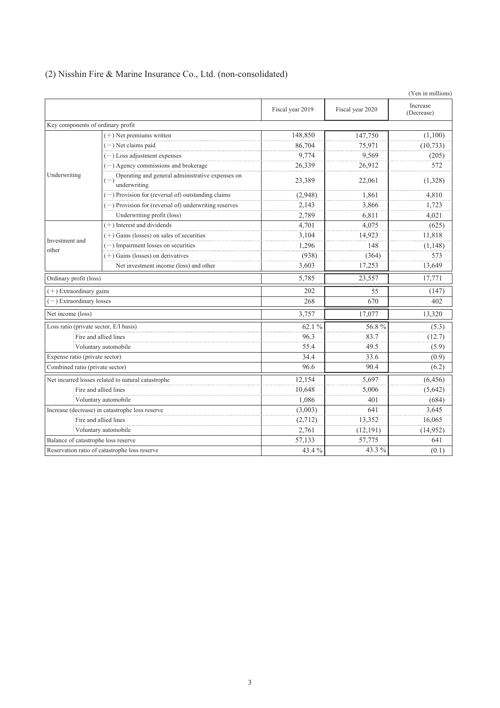|                                        |                                                                  |                  |                  | (Yen in millions)      |
|----------------------------------------|------------------------------------------------------------------|------------------|------------------|------------------------|
|                                        |                                                                  | Fiscal year 2019 | Fiscal year 2020 | Increase<br>(Decrease) |
| Key components of ordinary profit      |                                                                  |                  |                  |                        |
|                                        | $(+)$ Net premiums written                                       | 148,850          | 147,750          | (1,100)                |
|                                        | $(-)$ Net claims paid                                            | 86,704           | 75,971           | (10, 733)              |
|                                        | $(-)$ Loss adjustment expenses                                   | 9,774            | 9,569            | (205)                  |
|                                        | $(-)$ Agency commissions and brokerage                           | 26,339           | 26,912           | 572                    |
| Underwriting                           | Operating and general administrative expenses on<br>underwriting | 23,389           | 22,061           | (1,328)                |
|                                        | $(-)$ Provision for (reversal of) outstanding claims             | (2,948)          | 1.861            | 4,810                  |
|                                        | $(-)$ Provision for (reversal of) underwriting reserves          | 2,143            | 3,866            | 1,723                  |
|                                        | Underwriting profit (loss)                                       | 2,789            | 6,811            | 4,021                  |
|                                        | $(+)$ Interest and dividends                                     | 4,701            | 4.075            | (625)                  |
| Investment and                         | $(+)$ Gains (losses) on sales of securities                      | 3,104            | 14,923           | 11,818                 |
| other                                  | $(-)$ Impairment losses on securities                            | 1,296            | 148              | (1, 148)               |
|                                        | $(+)$ Gains (losses) on derivatives                              | (938)            | (364)            | 573                    |
|                                        | Net investment income (loss) and other                           | 3,603            | 17,253           | 13,649                 |
| Ordinary profit (loss)                 |                                                                  | 5,785            | 23,557           | 17,771                 |
| $(+)$ Extraordinary gains              |                                                                  | 202              | 55               | (147)                  |
| $(-)$ Extraordinary losses             |                                                                  | 268              | 670              | 402                    |
| Net income (loss)                      |                                                                  | 3,757            | 17,077           | 13,320                 |
| Loss ratio (private sector, E/I basis) |                                                                  | 62.1%            | 56.8%            | (5.3)                  |
|                                        | Fire and allied lines                                            | 96.3             | 83.7             | (12.7)                 |
|                                        | Voluntary automobile                                             | 55.4             | 49.5             | (5.9)                  |
| Expense ratio (private sector)         |                                                                  | 34.4             | 33.6             | (0.9)                  |
| Combined ratio (private sector)        |                                                                  | 96.6             | 90.4             | (6.2)                  |
|                                        | Net incurred losses related to natural catastrophe               | 12,154           | 5,697            | (6, 456)               |
|                                        | Fire and allied lines                                            | 10,648           | 5.006            | (5,642)                |
| Voluntary automobile                   |                                                                  | 1,086            | 401              | (684)                  |
|                                        | Increase (decrease) in catastrophe loss reserve                  | (3,003)          | 641              | 3,645                  |
|                                        | Fire and allied lines                                            | (2,712)          | 13,352           | 16,065                 |
|                                        | Voluntary automobile                                             | 2,761            | (12, 191)        | (14, 952)              |
| Balance of catastrophe loss reserve    |                                                                  | 57,133           | 57,775           | 641                    |
|                                        | Reservation ratio of catastrophe loss reserve                    | 43.4%            | 43.3 %           | (0.1)                  |

## (2) Nisshin Fire & Marine Insurance Co., Ltd. (non-consolidated)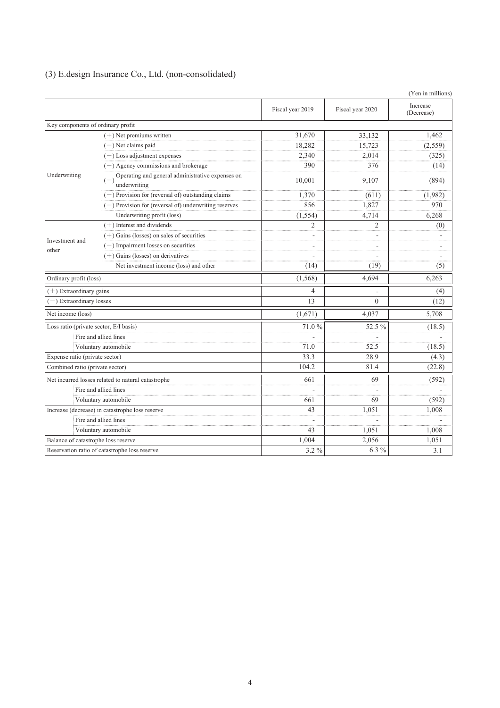|  |  |  | (3) E.design Insurance Co., Ltd. (non-consolidated) |
|--|--|--|-----------------------------------------------------|
|--|--|--|-----------------------------------------------------|

|                                        |                                                                  |                  |                  | (Yen in millions)      |
|----------------------------------------|------------------------------------------------------------------|------------------|------------------|------------------------|
|                                        |                                                                  | Fiscal year 2019 | Fiscal year 2020 | Increase<br>(Decrease) |
| Key components of ordinary profit      |                                                                  |                  |                  |                        |
|                                        | $(+)$ Net premiums written                                       | 31,670           | 33,132           | 1,462                  |
|                                        | $(-)$ Net claims paid                                            | 18,282           | 15,723           | (2, 559)               |
|                                        | $(-)$ Loss adjustment expenses                                   | 2,340            | 2,014            | (325)                  |
|                                        | $(-)$ Agency commissions and brokerage                           | 390              | 376              | (14)                   |
| Underwriting                           | Operating and general administrative expenses on<br>underwriting | 10,001           | 9,107            | (894)                  |
|                                        | $(-)$ Provision for (reversal of) outstanding claims             | 1,370            | (611)            | (1,982)                |
|                                        | $(-)$ Provision for (reversal of) underwriting reserves          | 856              | 1,827            | 970                    |
|                                        | Underwriting profit (loss)                                       | (1, 554)         | 4,714            | 6,268                  |
|                                        | $(+)$ Interest and dividends                                     | $\overline{2}$   | $\overline{2}$   | (0)                    |
|                                        | $(+)$ Gains (losses) on sales of securities                      |                  |                  |                        |
| Investment and<br>other                | $(-)$ Impairment losses on securities                            |                  |                  |                        |
|                                        | $(+)$ Gains (losses) on derivatives                              |                  |                  |                        |
|                                        | Net investment income (loss) and other                           | (14)             | (19)             | (5)                    |
| Ordinary profit (loss)                 |                                                                  | (1, 568)         | 4,694            | 6,263                  |
| $(+)$ Extraordinary gains              |                                                                  | 4                |                  | (4)                    |
| $(-)$ Extraordinary losses             |                                                                  | 13               | $\theta$         | (12)                   |
| Net income (loss)                      |                                                                  | (1,671)          | 4.037            | 5,708                  |
| Loss ratio (private sector, E/I basis) |                                                                  | 71.0%            | 52.5 %           | (18.5)                 |
|                                        | Fire and allied lines                                            |                  |                  |                        |
|                                        | Voluntary automobile                                             | 71.0             | 52.5             | (18.5)                 |
| Expense ratio (private sector)         |                                                                  | 33.3             | 28.9             | (4.3)                  |
| Combined ratio (private sector)        |                                                                  | 104.2            | 81.4             | (22.8)                 |
|                                        | Net incurred losses related to natural catastrophe               | 661              | 69               | (592)                  |
|                                        | Fire and allied lines                                            |                  |                  |                        |
|                                        | Voluntary automobile                                             | 661              | 69               | (592)                  |
|                                        | Increase (decrease) in catastrophe loss reserve                  | 43               | 1,051            | 1,008                  |
|                                        | Fire and allied lines                                            |                  |                  |                        |
|                                        | Voluntary automobile                                             | 43               | 1,051            | 1,008                  |
| Balance of catastrophe loss reserve    |                                                                  | 1,004            | 2,056            | 1,051                  |
|                                        | Reservation ratio of catastrophe loss reserve                    | 3.2 %            | 6.3 %            | 3.1                    |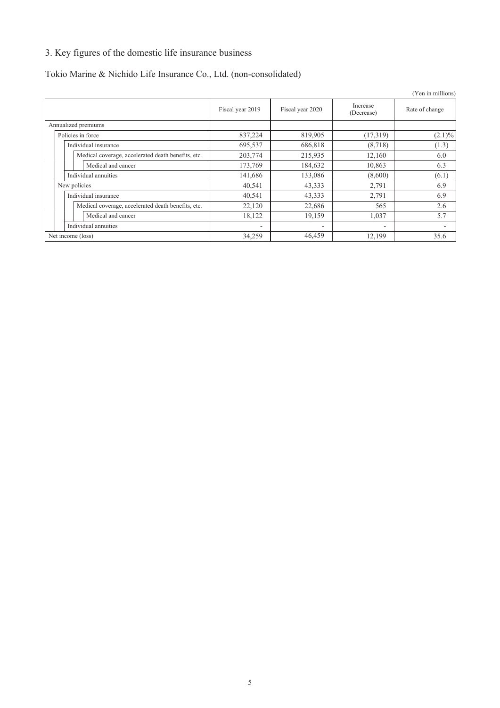## 3. Key figures of the domestic life insurance business

## Tokio Marine & Nichido Life Insurance Co., Ltd. (non-consolidated)

|                                                    |                  |                  |                        | (Yen in millions) |
|----------------------------------------------------|------------------|------------------|------------------------|-------------------|
|                                                    | Fiscal year 2019 | Fiscal year 2020 | Increase<br>(Decrease) | Rate of change    |
| Annualized premiums                                |                  |                  |                        |                   |
| Policies in force                                  | 837,224          | 819,905          | (17,319)               | $(2.1)\%$         |
| Individual insurance                               | 695,537          | 686,818          | (8, 718)               | (1.3)             |
| Medical coverage, accelerated death benefits, etc. | 203,774          | 215,935          | 12,160                 | 6.0               |
| Medical and cancer                                 | 173,769          | 184,632          | 10,863                 | 6.3               |
| Individual annuities                               | 141,686          | 133,086          | (8,600)                | (6.1)             |
| New policies                                       | 40,541           | 43,333           | 2,791                  | 6.9               |
| Individual insurance                               | 40,541           | 43,333           | 2,791                  | 6.9               |
| Medical coverage, accelerated death benefits, etc. | 22,120           | 22,686           | 565                    | 2.6               |
| Medical and cancer                                 | 18,122           | 19,159           | 1,037                  | 5.7               |
| Individual annuities                               |                  | ٠                |                        |                   |
| Net income (loss)                                  | 34,259           | 46,459           | 12,199                 | 35.6              |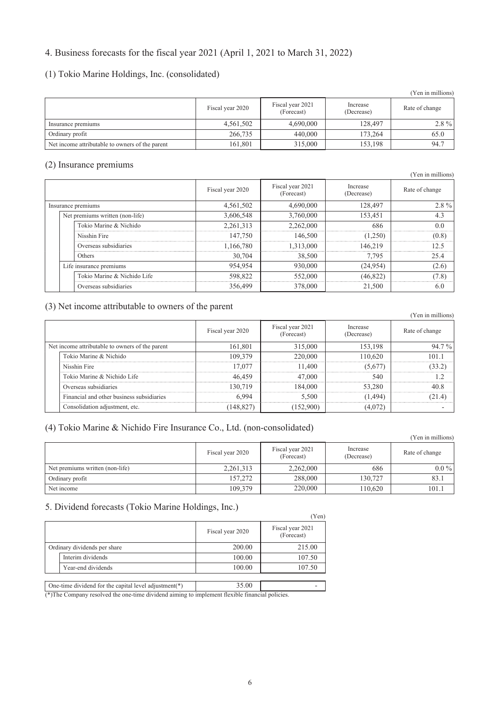## 4. Business forecasts for the fiscal year 2021 (April 1, 2021 to March 31, 2022)

### (1) Tokio Marine Holdings, Inc. (consolidated)

|                                                 |                  |                                |                        | (Yen in millions) |
|-------------------------------------------------|------------------|--------------------------------|------------------------|-------------------|
|                                                 | Fiscal year 2020 | Fiscal year 2021<br>(Forecast) | Increase<br>(Decrease) | Rate of change    |
| Insurance premiums                              | 4,561,502        | 4,690,000                      | 128,497                | $2.8\%$           |
| Ordinary profit                                 | 266,735          | 440,000                        | 173,264                | 65.0              |
| Net income attributable to owners of the parent | 161,801          | 315,000                        | 153,198                | 94.7              |

### (2) Insurance premiums

|                                 |                  |                                |                        | $\frac{1}{2}$  |
|---------------------------------|------------------|--------------------------------|------------------------|----------------|
|                                 | Fiscal year 2020 | Fiscal year 2021<br>(Forecast) | Increase<br>(Decrease) | Rate of change |
| Insurance premiums              | 4,561,502        | 4,690,000                      | 128,497                | $2.8\%$        |
| Net premiums written (non-life) | 3,606,548        | 3,760,000                      | 153,451                |                |
| Tokio Marine & Nichido          | 2,261,313        | 2.262,000                      | 686                    | 0 <sub>0</sub> |
| Nisshin Fire                    | 147,750          | 146.500                        | 1.250)                 | <br>(0.8)      |
| Overseas subsidiaries           | 1.166.780        | 1.313.000                      | 146.219                | 12.5           |
| Others                          | 30,704           | 38,500                         | 7.795                  | 25.4           |
| Life insurance premiums         | 954,954          | 930,000                        | (24, 954)              | (2.6)          |
| Tokio Marine & Nichido Life     | 598,822          | 552,000                        | (46.822)               | (7.8)          |
| Overseas subsidiaries           | 356,499          | 378,000                        | 21,500                 | 6.0            |

## (3) Net income attributable to owners of the parent

|                                                 |                                           |                  |                                |                        | (Yen in millions) |
|-------------------------------------------------|-------------------------------------------|------------------|--------------------------------|------------------------|-------------------|
|                                                 |                                           | Fiscal year 2020 | Fiscal year 2021<br>(Forecast) | Increase<br>(Decrease) | Rate of change    |
| Net income attributable to owners of the parent |                                           | 161,801          | 315,000                        | 153.198                | 94.7%             |
|                                                 | Tokio Marine & Nichido                    | 109.379          | 220 000                        | 110.620                | 101-1             |
|                                                 | Nisshin Fire                              | I 7 077          | 1.400                          | (5.677)                |                   |
|                                                 | Tokio Marine & Nichido Life               | 46 459           | 47.000                         | 540                    |                   |
|                                                 | Overseas subsidiaries                     | 30.719           | 184 000                        | 53.280                 |                   |
|                                                 | Financial and other business subsidiaries |                  | 5.500                          | 494                    |                   |
|                                                 | Consolidation adjustment, etc.            |                  | .52900                         |                        |                   |

### (4) Tokio Marine & Nichido Fire Insurance Co., Ltd. (non-consolidated)

|                                 |                  |                                |                        | $\frac{1}{2}$ CH in minimums $\frac{1}{2}$ |
|---------------------------------|------------------|--------------------------------|------------------------|--------------------------------------------|
|                                 | Fiscal year 2020 | Fiscal year 2021<br>(Forecast) | Increase<br>(Decrease) | Rate of change                             |
| Net premiums written (non-life) | 2,261,313        | 2,262,000                      | 686                    | $0.0\%$                                    |
| Ordinary profit                 | 157.272          | 288,000                        | 130.727                | 83.1                                       |
| Net income                      | 109,379          | 220,000                        | 110.620                | 101.1                                      |

## 5. Dividend forecasts (Tokio Marine Holdings, Inc.)

|                                                                                                 |                  | (Yen)                          |  |  |  |  |  |
|-------------------------------------------------------------------------------------------------|------------------|--------------------------------|--|--|--|--|--|
|                                                                                                 | Fiscal year 2020 | Fiscal year 2021<br>(Forecast) |  |  |  |  |  |
| Ordinary dividends per share                                                                    | 200.00           | 215.00                         |  |  |  |  |  |
| Interim dividends                                                                               | 100.00           | 107.50                         |  |  |  |  |  |
| Year-end dividends                                                                              | 100.00           | 107.50                         |  |  |  |  |  |
|                                                                                                 |                  |                                |  |  |  |  |  |
| One-time dividend for the capital level adjustment( $*$ )                                       | 35.00            |                                |  |  |  |  |  |
| (*) The Company resolved the one-time dividend aiming to implement flexible financial policies. |                  |                                |  |  |  |  |  |

(\*)The Company resolved the one-time dividend aiming to imp

(Yen in millions)

(Yen in millions)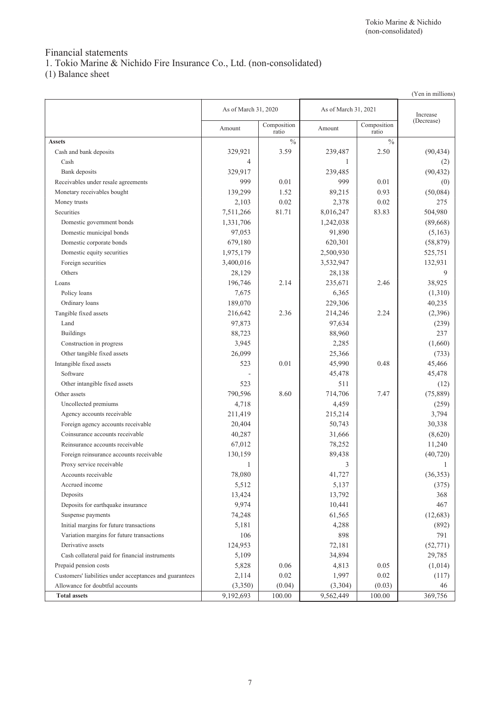# Financial statements

1. Tokio Marine & Nichido Fire Insurance Co., Ltd. (non-consolidated)

(1) Balance sheet

|                                                         |                      |                      |                      |                      | (Yen in millions) |
|---------------------------------------------------------|----------------------|----------------------|----------------------|----------------------|-------------------|
|                                                         | As of March 31, 2020 |                      | As of March 31, 2021 |                      | Increase          |
|                                                         | Amount               | Composition<br>ratio | Amount               | Composition<br>ratio | (Decrease)        |
| <b>Assets</b>                                           |                      | $\%$                 |                      | $\frac{0}{0}$        |                   |
| Cash and bank deposits                                  | 329,921              | 3.59                 | 239,487              | 2.50                 | (90, 434)         |
| Cash                                                    | 4                    |                      | 1                    |                      | (2)               |
| Bank deposits                                           | 329,917              |                      | 239,485              |                      | (90, 432)         |
| Receivables under resale agreements                     | 999                  | 0.01                 | 999                  | 0.01                 | (0)               |
| Monetary receivables bought                             | 139,299              | 1.52                 | 89,215               | 0.93                 | (50,084)          |
| Money trusts                                            | 2,103                | 0.02                 | 2,378                | 0.02                 | 275               |
| Securities                                              | 7,511,266            | 81.71                | 8,016,247            | 83.83                | 504,980           |
| Domestic government bonds                               | 1,331,706            |                      | 1,242,038            |                      | (89,668)          |
| Domestic municipal bonds                                | 97,053               |                      | 91,890               |                      | (5,163)           |
| Domestic corporate bonds                                | 679,180              |                      | 620,301              |                      | (58, 879)         |
| Domestic equity securities                              | 1,975,179            |                      | 2,500,930            |                      | 525,751           |
| Foreign securities                                      | 3,400,016            |                      | 3,532,947            |                      | 132,931           |
| Others                                                  | 28,129               |                      | 28,138               |                      | 9                 |
| Loans                                                   | 196,746              | 2.14                 | 235,671              | 2.46                 | 38,925            |
| Policy loans                                            | 7,675                |                      | 6,365                |                      | (1,310)           |
| Ordinary loans                                          | 189,070              |                      | 229,306              |                      | 40,235            |
| Tangible fixed assets                                   | 216,642              | 2.36                 | 214,246              | 2.24                 | (2,396)           |
| Land                                                    | 97,873               |                      | 97,634               |                      | (239)             |
| <b>Buildings</b>                                        | 88,723               |                      | 88,960               |                      | 237               |
| Construction in progress                                | 3,945                |                      | 2,285                |                      | (1,660)           |
| Other tangible fixed assets                             | 26,099               |                      | 25,366               |                      | (733)             |
| Intangible fixed assets                                 | 523                  | 0.01                 | 45,990               | 0.48                 | 45,466            |
| Software                                                |                      |                      | 45,478               |                      | 45,478            |
| Other intangible fixed assets                           | 523                  |                      | 511                  |                      | (12)              |
| Other assets                                            | 790,596              | 8.60                 | 714,706              | 7.47                 | (75, 889)         |
|                                                         | 4,718                |                      | 4,459                |                      | (259)             |
| Uncollected premiums                                    |                      |                      |                      |                      |                   |
| Agency accounts receivable                              | 211,419              |                      | 215,214              |                      | 3,794             |
| Foreign agency accounts receivable                      | 20,404               |                      | 50,743               |                      | 30,338            |
| Coinsurance accounts receivable                         | 40,287               |                      | 31,666               |                      | (8,620)           |
| Reinsurance accounts receivable                         | 67,012               |                      | 78,252               |                      | 11,240            |
| Foreign reinsurance accounts receivable                 | 130,159              |                      | 89,438               |                      | (40, 720)         |
| Proxy service receivable                                | 1                    |                      | $\mathcal{E}$        |                      | 1                 |
| Accounts receivable                                     | 78,080               |                      | 41,727               |                      | (36, 353)         |
| Accrued income                                          | 5,512                |                      | 5,137                |                      | (375)             |
| Deposits                                                | 13,424               |                      | 13,792               |                      | 368               |
| Deposits for earthquake insurance                       | 9,974                |                      | 10,441               |                      | 467               |
| Suspense payments                                       | 74,248               |                      | 61,565               |                      | (12, 683)         |
| Initial margins for future transactions                 | 5,181                |                      | 4,288                |                      | (892)             |
| Variation margins for future transactions               | 106                  |                      | 898                  |                      | 791               |
| Derivative assets                                       | 124,953              |                      | 72,181               |                      | (52, 771)         |
| Cash collateral paid for financial instruments          | 5,109                |                      | 34,894               |                      | 29,785            |
| Prepaid pension costs                                   | 5,828                | 0.06                 | 4,813                | 0.05                 | (1,014)           |
| Customers' liabilities under acceptances and guarantees | 2,114                | 0.02                 | 1,997                | 0.02                 | (117)             |
| Allowance for doubtful accounts                         | (3,350)              | (0.04)               | (3,304)              | (0.03)               | 46                |
| <b>Total assets</b>                                     | 9,192,693            | 100.00               | 9,562,449            | 100.00               | 369,756           |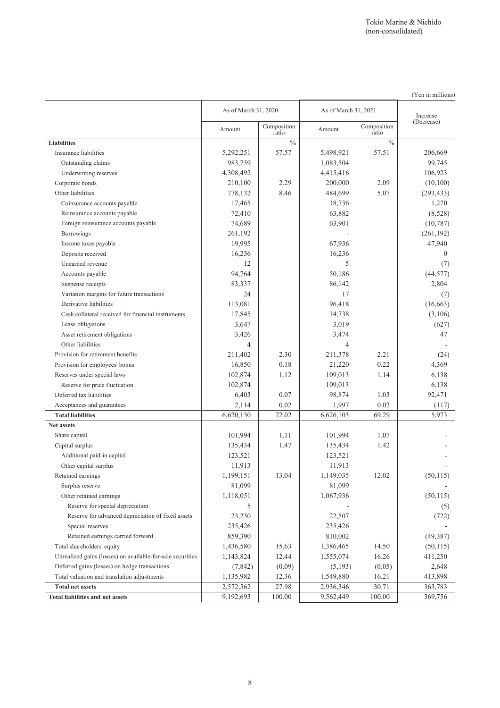|                                                            |                      |                      |                      |                      | (Yen in millions) |
|------------------------------------------------------------|----------------------|----------------------|----------------------|----------------------|-------------------|
|                                                            | As of March 31, 2020 |                      | As of March 31, 2021 |                      | Increase          |
|                                                            | Amount               | Composition<br>ratio | Amount               | Composition<br>ratio | (Decrease)        |
| <b>Liabilities</b>                                         |                      | $\%$                 |                      | $\frac{0}{0}$        |                   |
| Insurance liabilities                                      | 5,292,251            | 57.57                | 5,498,921            | 57.51                | 206,669           |
| Outstanding claims                                         | 983,759              |                      | 1,083,504            |                      | 99,745            |
| Underwriting reserves                                      | 4,308,492            |                      | 4,415,416            |                      | 106,923           |
| Corporate bonds                                            | 210,100              | 2.29                 | 200,000              | 2.09                 | (10,100)          |
| Other liabilities                                          | 778,132              | 8.46                 | 484,699              | 5.07                 | (293, 433)        |
| Coinsurance accounts payable                               | 17,465               |                      | 18,736               |                      | 1,270             |
| Reinsurance accounts payable                               | 72,410               |                      | 63,882               |                      | (8,528)           |
| Foreign reinsurance accounts payable                       | 74,689               |                      | 63,901               |                      | (10, 787)         |
| <b>Borrowings</b>                                          | 261,192              |                      |                      |                      | (261, 192)        |
| Income taxes payable                                       | 19,995               |                      | 67,936               |                      | 47,940            |
| Deposits received                                          | 16,236               |                      | 16,236               |                      | $\theta$          |
| Unearned revenue                                           | 12                   |                      | 5                    |                      | (7)               |
| Accounts payable                                           | 94,764               |                      | 50,186               |                      | (44, 577)         |
| Suspense receipts                                          | 83,337               |                      | 86,142               |                      | 2,804             |
| Variation margins for future transactions                  | 24                   |                      | 17                   |                      | (7)               |
| Derivative liabilities                                     | 113,081              |                      | 96,418               |                      | (16, 663)         |
| Cash collateral received for financial instruments         | 17,845               |                      | 14,738               |                      | (3,106)           |
| Lease obligations                                          | 3,647                |                      | 3,019                |                      | (627)             |
| Asset retirement obligations                               | 3,426                |                      | 3,474                |                      | 47                |
| Other liabilities                                          | 4                    |                      | 4                    |                      |                   |
| Provision for retirement benefits                          | 211,402              | 2.30                 | 211,378              | 2.21                 | (24)              |
| Provision for employees' bonus                             | 16,850               | 0.18                 | 21,220               | 0.22                 | 4,369             |
| Reserves under special laws                                | 102,874              | 1.12                 | 109,013              | 1.14                 | 6,138             |
| Reserve for price fluctuation                              | 102,874              |                      | 109,013              |                      | 6,138             |
| Deferred tax liabilities                                   | 6,403                | 0.07                 | 98,874               | 1.03                 | 92,471            |
| Acceptances and guarantees                                 | 2,114                | 0.02                 | 1,997                | 0.02                 | (117)             |
| <b>Total liabilities</b>                                   | 6,620,130            | 72.02                | 6,626,103            | 69.29                | 5,973             |
| Net assets                                                 |                      |                      |                      |                      |                   |
| Share capital                                              | 101,994              | 1.11                 | 101,994              | 1.07                 |                   |
| Capital surplus                                            | 135,434              | 1.47                 | 135,434              | 1.42                 |                   |
| Additional paid-in capital                                 | 123,521              |                      | 123,521              |                      |                   |
| Other capital surplus                                      | 11,913               |                      | 11,913               |                      |                   |
| Retained earnings                                          | 1,199,151            | 13.04                | 1,149,035            | 12.02                | (50, 115)         |
| Surplus reserve                                            | 81,099               |                      | 81,099               |                      |                   |
| Other retained earnings                                    | 1,118,051            |                      | 1,067,936            |                      | (50, 115)         |
| Reserve for special depreciation                           | 5                    |                      |                      |                      | (5)               |
| Reserve for advanced depreciation of fixed assets          | 23,230               |                      | 22,507               |                      | (722)             |
| Special reserves                                           | 235,426              |                      | 235,426              |                      |                   |
| Retained earnings carried forward                          | 859,390              |                      | 810,002              |                      | (49,387)          |
| Total shareholders' equity                                 | 1,436,580            | 15.63                | 1,386,465            | 14.50                | (50, 115)         |
| Unrealized gains (losses) on available-for-sale securities | 1,143,824            | 12.44                | 1,555,074            | 16.26                | 411,250           |
| Deferred gains (losses) on hedge transactions              | (7, 842)             | (0.09)               | (5,193)              | (0.05)               | 2,648             |
| Total valuation and translation adjustments                | 1,135,982            | 12.36                | 1,549,880            | 16.21                | 413,898           |
| <b>Total net assets</b>                                    | 2,572,562            | 27.98                | 2,936,346            | 30.71                | 363,783           |
| <b>Total liabilities and net assets</b>                    | 9,192,693            | 100.00               | 9,562,449            | 100.00               | 369,756           |

8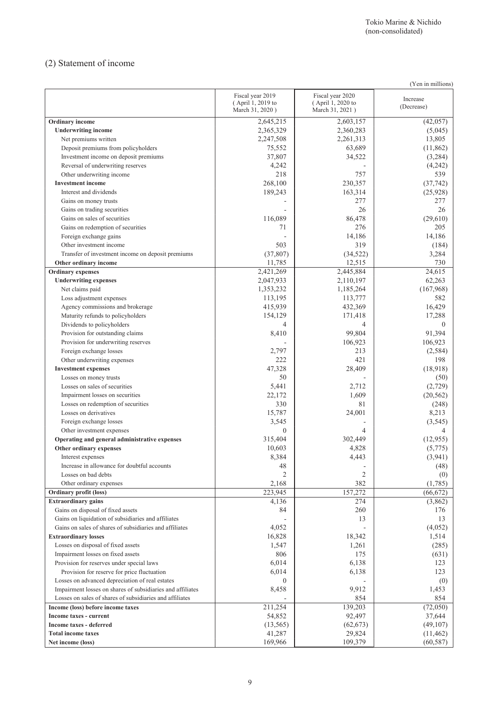## (2) Statement of income

|                                                                                                               |                                                          |                                                          | (Yen in millions)      |
|---------------------------------------------------------------------------------------------------------------|----------------------------------------------------------|----------------------------------------------------------|------------------------|
|                                                                                                               | Fiscal year 2019<br>(April 1, 2019 to<br>March 31, 2020) | Fiscal year 2020<br>(April 1, 2020 to<br>March 31, 2021) | Increase<br>(Decrease) |
| Ordinary income                                                                                               | 2,645,215                                                | 2,603,157                                                | (42,057)               |
| <b>Underwriting income</b>                                                                                    | 2,365,329                                                | 2,360,283                                                | (5,045)                |
| Net premiums written                                                                                          | 2,247,508                                                | 2,261,313                                                | 13,805                 |
| Deposit premiums from policyholders                                                                           | 75,552                                                   | 63,689                                                   | (11,862)               |
| Investment income on deposit premiums                                                                         | 37,807                                                   | 34,522                                                   | (3,284)                |
| Reversal of underwriting reserves                                                                             | 4,242                                                    |                                                          | (4,242)                |
| Other underwriting income                                                                                     | 218                                                      | 757                                                      | 539                    |
| <b>Investment income</b>                                                                                      | 268.100                                                  | 230,357                                                  | (37,742)               |
| Interest and dividends                                                                                        | 189,243                                                  | 163,314                                                  | (25,928)               |
| Gains on money trusts                                                                                         |                                                          | 277                                                      | 277                    |
| Gains on trading securities                                                                                   |                                                          | 26                                                       | 26                     |
| Gains on sales of securities                                                                                  | 116,089                                                  | 86,478                                                   | (29,610)               |
| Gains on redemption of securities                                                                             | 71                                                       | 276                                                      | 205                    |
| Foreign exchange gains                                                                                        |                                                          | 14,186                                                   | 14,186                 |
| Other investment income                                                                                       | 503                                                      | 319                                                      | (184)                  |
| Transfer of investment income on deposit premiums                                                             | (37, 807)                                                | (34, 522)                                                | 3,284                  |
| Other ordinary income                                                                                         | 11,785                                                   | 12,515                                                   | 730                    |
| <b>Ordinary expenses</b>                                                                                      | 2,421,269                                                | 2,445,884                                                | 24,615                 |
| <b>Underwriting expenses</b>                                                                                  | 2,047,933                                                | 2,110,197                                                | 62,263                 |
| Net claims paid                                                                                               | 1,353,232                                                | 1,185,264                                                | (167,968)<br>582       |
| Loss adjustment expenses<br>Agency commissions and brokerage                                                  | 113,195<br>415,939                                       | 113,777<br>432,369                                       | 16,429                 |
| Maturity refunds to policyholders                                                                             | 154,129                                                  |                                                          | 17,288                 |
| Dividends to policyholders                                                                                    | 4                                                        | 171,418<br>4                                             | $\theta$               |
| Provision for outstanding claims                                                                              | 8,410                                                    | 99,804                                                   | 91,394                 |
| Provision for underwriting reserves                                                                           |                                                          | 106,923                                                  | 106,923                |
| Foreign exchange losses                                                                                       | 2,797                                                    | 213                                                      | (2, 584)               |
| Other underwriting expenses                                                                                   | 222                                                      | 421                                                      | 198                    |
| <b>Investment expenses</b>                                                                                    | 47,328                                                   | 28,409                                                   | (18,918)               |
| Losses on money trusts                                                                                        | 50                                                       |                                                          | (50)                   |
| Losses on sales of securities                                                                                 | 5,441                                                    | 2,712                                                    | (2,729)                |
| Impairment losses on securities                                                                               | 22,172                                                   | 1,609                                                    | (20, 562)              |
| Losses on redemption of securities                                                                            | 330                                                      | 81                                                       | (248)                  |
| Losses on derivatives                                                                                         | 15,787                                                   | 24,001                                                   | 8,213                  |
| Foreign exchange losses                                                                                       | 3,545                                                    | ٠                                                        | (3, 545)               |
| Other investment expenses                                                                                     | $\theta$                                                 | 4                                                        | 4                      |
| Operating and general administrative expenses                                                                 | 315,404                                                  | 302,449                                                  | (12,955)               |
| Other ordinary expenses                                                                                       | 10,603                                                   | 4,828                                                    | (5,775)                |
| Interest expenses                                                                                             | 8,384                                                    | 4,443                                                    | (3,941)                |
| Increase in allowance for doubtful accounts                                                                   | 48                                                       |                                                          | (48)                   |
| Losses on bad debts                                                                                           | $\overline{2}$                                           | $\overline{c}$                                           | (0)                    |
| Other ordinary expenses                                                                                       | 2,168                                                    | 382                                                      | (1,785)                |
| Ordinary profit (loss)                                                                                        | 223,945                                                  | 157,272                                                  | (66, 672)              |
| <b>Extraordinary gains</b>                                                                                    | 4,136                                                    | 274                                                      | (3,862)                |
| Gains on disposal of fixed assets                                                                             | 84                                                       | 260                                                      | 176                    |
| Gains on liquidation of subsidiaries and affiliates                                                           |                                                          | 13                                                       | 13                     |
| Gains on sales of shares of subsidiaries and affiliates                                                       | 4,052                                                    |                                                          | (4,052)                |
| <b>Extraordinary losses</b>                                                                                   | 16,828                                                   | 18,342                                                   | 1,514                  |
| Losses on disposal of fixed assets                                                                            | 1,547                                                    | 1,261                                                    | (285)                  |
| Impairment losses on fixed assets                                                                             | 806                                                      | 175                                                      | (631)                  |
| Provision for reserves under special laws<br>Provision for reserve for price fluctuation                      | 6,014<br>6,014                                           | 6,138<br>6,138                                           | 123<br>123             |
|                                                                                                               |                                                          |                                                          |                        |
| Losses on advanced depreciation of real estates<br>Impairment losses on shares of subsidiaries and affiliates | $\overline{0}$<br>8,458                                  | 9,912                                                    | (0)<br>1,453           |
| Losses on sales of shares of subsidiaries and affiliates                                                      |                                                          | 854                                                      | 854                    |
| Income (loss) before income taxes                                                                             | 211,254                                                  | 139,203                                                  | (72,050)               |
| Income taxes - current                                                                                        | 54,852                                                   | 92,497                                                   | 37,644                 |
| Income taxes - deferred                                                                                       | (13, 565)                                                | (62, 673)                                                | (49,107)               |
| <b>Total income taxes</b>                                                                                     | 41,287                                                   | 29,824                                                   | (11, 462)              |
| Net income (loss)                                                                                             | 169,966                                                  | 109,379                                                  | (60, 587)              |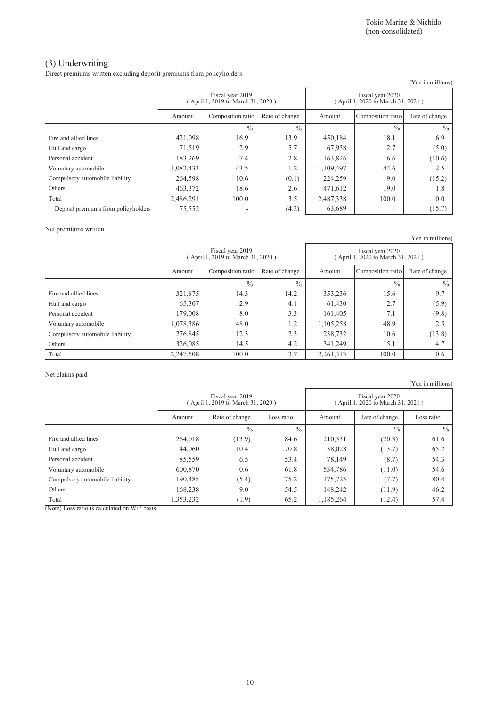### (3) Underwriting

Direct premiums written excluding deposit premiums from policyholders

|                                     |                                                      |                   |                |                                                       |                   | (Yen in millions) |
|-------------------------------------|------------------------------------------------------|-------------------|----------------|-------------------------------------------------------|-------------------|-------------------|
|                                     | Fiscal year 2019<br>April 1, 2019 to March 31, 2020) |                   |                | Fiscal year 2020<br>(April 1, 2020 to March 31, 2021) |                   |                   |
|                                     | Amount                                               | Composition ratio | Rate of change | Amount                                                | Composition ratio | Rate of change    |
|                                     |                                                      | $\frac{0}{0}$     | $\frac{0}{0}$  |                                                       | $\frac{0}{0}$     | $\frac{0}{0}$     |
| Fire and allied lines               | 421,098                                              | 16.9              | 13.9           | 450.184                                               | 18.1              | 6.9               |
| Hull and cargo                      | 71,519                                               | 2.9               | 5.7            | 67,958                                                | 2.7               | (5.0)             |
| Personal accident                   | 183,269                                              | 7.4               | 2.8            | 163,826                                               | 6.6               | (10.6)            |
| Voluntary automobile                | 1,082,433                                            | 43.5              | 1.2            | 1,109,497                                             | 44.6              | 2.5               |
| Compulsory automobile liability     | 264,598                                              | 10.6              | (0.1)          | 224.259                                               | 9.0               | (15.2)            |
| Others                              | 463,372                                              | 18.6              | 2.6            | 471,612                                               | 19.0              | 1.8               |
| Total                               | 2,486,291                                            | 100.0             | 3.5            | 2,487,338                                             | 100.0             | 0.0               |
| Deposit premiums from policyholders | 75,552                                               | ٠                 | (4.2)          | 63,689                                                | ٠                 | (15.7)            |

#### Net premiums written

(Yen in millions) Fiscal year 2019 ( April 1, 2019 to March 31, 2020 ) Fiscal year 2020 ( April 1, 2020 to March 31, 2021 ) Amount Composition ratio Rate of change Amount Composition ratio Rate of change  $\frac{9}{6}$  %  $\frac{9}{6}$  %  $\frac{9}{6}$ Fire and allied lines 321,875 14.3 14.2 353,236 15.6 9.7 Hull and cargo **65,307** 2.9 4.1 61,430 2.7 (5.9) Personal accident 179,008 8.0 3.3 161,405 7.1 (9.8) Voluntary automobile 1,078,386 48.0 1.2 1,105,258 48.9 2.5 Compulsory automobile liability 276,845 12.3 2.3 238,732 10.6 (13.8) Others 2.6,085 14.5 14.5 14.2 331,249 15.1 4.7 Total 100.0 2,247,508 100.0 3.7 2,261,313 100.0 0.6

Net claims paid

Fiscal year 2019 ( April 1, 2019 to March 31, 2020 ) Fiscal year 2020 ( April 1, 2020 to March 31, 2021 ) Amount Rate of change Loss ratio Amount Rate of change Loss ratio  $\frac{9}{6}$  %  $\frac{9}{6}$  %  $\frac{9}{6}$  % Fire and allied lines  $264.018$   $(13.9)$   $84.6$   $210.331$   $(20.3)$   $61.6$ Hull and cargo 44,060 10.4 70.8 38,028 (13.7) 65.2 Personal accident 185,559 6.5 53.4 78,149 (8.7) 54.3 Voluntary automobile <br>
600,870 0.6 61.8 534,786 (11.0) 54.6 Compulsory automobile liability 190,485 (5.4) 75.2 175,725 (7.7) 80.4 Others 168,238 9.0 54.5 148,242 (11.9) 46.2 Total 1,353,232 (1.9) 65.2 1,185,264 (1.2.4) 57.4

(Note) Loss ratio is calculated on W/P basis.

(Yen in millions)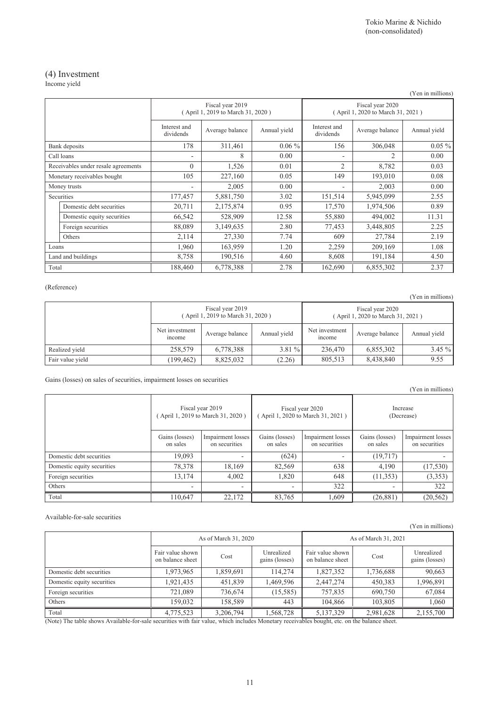## (4) Investment

Income yield

|                             |                                     |                           |                                                       |              |                                                       |                 | (Yen in millions) |
|-----------------------------|-------------------------------------|---------------------------|-------------------------------------------------------|--------------|-------------------------------------------------------|-----------------|-------------------|
|                             |                                     |                           | Fiscal year 2019<br>(April 1, 2019 to March 31, 2020) |              | Fiscal year 2020<br>(April 1, 2020 to March 31, 2021) |                 |                   |
|                             |                                     | Interest and<br>dividends | Average balance                                       | Annual yield | Interest and<br>dividends                             | Average balance | Annual yield      |
|                             | Bank deposits                       | 178                       | 311,461                                               | $0.06\%$     | 156                                                   | 306,048         | $0.05\%$          |
|                             | Call loans                          |                           | 8                                                     | 0.00         |                                                       | $\overline{c}$  | 0.00              |
|                             | Receivables under resale agreements | $\theta$                  | 1,526                                                 | 0.01         | $\overline{2}$                                        | 8,782           | 0.03              |
| Monetary receivables bought |                                     | 105                       | 227,160                                               | 0.05         | 149                                                   | 193,010         | 0.08              |
|                             | Money trusts                        |                           | 2,005                                                 | 0.00         |                                                       | 2,003           | 0.00              |
|                             | Securities                          | 177,457                   | 5,881,750                                             | 3.02         | 151,514                                               | 5,945,099       | 2.55              |
|                             | Domestic debt securities            | 20,711                    | 2,175,874                                             | 0.95         | 17,570                                                | 1,974,506       | 0.89              |
|                             | Domestic equity securities          | 66,542                    | 528,909                                               | 12.58        | 55,880                                                | 494,002         | 11.31             |
|                             | Foreign securities                  | 88,089                    | 3,149,635                                             | 2.80         | 77,453                                                | 3,448,805       | 2.25              |
|                             | Others                              | 2,114                     | 27,330                                                | 7.74         | 609                                                   | 27,784          | 2.19              |
| Loans                       |                                     | 1,960                     | 163,959                                               | 1.20         | 2,259                                                 | 209,169         | 1.08              |
| Land and buildings          |                                     | 8,758                     | 190,516                                               | 4.60         | 8,608                                                 | 191,184         | 4.50              |
| Total                       |                                     | 188,460                   | 6,778,388                                             | 2.78         | 162,690                                               | 6,855,302       | 2.37              |

### (Reference)

|                  |                                                       |                 |              |                          |                                                       | $1.911$ $1.11$ $1.111$ |
|------------------|-------------------------------------------------------|-----------------|--------------|--------------------------|-------------------------------------------------------|------------------------|
|                  | Fiscal year 2019<br>(April 1, 2019 to March 31, 2020) |                 |              |                          | Fiscal year 2020<br>(April 1, 2020 to March 31, 2021) |                        |
|                  | Net investment<br>mcome                               | Average balance | Annual yield | Net investment<br>income | Average balance                                       | Annual yield           |
| Realized vield   | 258,579                                               | 6,778,388       | $3.81\%$     | 236,470                  | 6,855,302                                             | $3.45\%$               |
| Fair value yield | (199, 462)                                            | 8,825,032       | (2.26)       | 805.513                  | 8,438,840                                             | 9.55                   |

Gains (losses) on sales of securities, impairment losses on securities

|                            |                                                       |                                    |                                                       |                                    |                            | (Yen in millions)                  |
|----------------------------|-------------------------------------------------------|------------------------------------|-------------------------------------------------------|------------------------------------|----------------------------|------------------------------------|
|                            | Fiscal year 2019<br>(April 1, 2019 to March 31, 2020) |                                    | Fiscal year 2020<br>(April 1, 2020 to March 31, 2021) |                                    | Increase<br>(Decrease)     |                                    |
|                            | Gains (losses)<br>on sales                            | Impairment losses<br>on securities | Gains (losses)<br>on sales                            | Impairment losses<br>on securities | Gains (losses)<br>on sales | Impairment losses<br>on securities |
| Domestic debt securities   | 19,093                                                | $\overline{\phantom{0}}$           | (624)                                                 | $\overline{\phantom{a}}$           | (19,717)                   |                                    |
| Domestic equity securities | 78,378                                                | 18,169                             | 82,569                                                | 638                                | 4,190                      | (17, 530)                          |
| Foreign securities         | 13,174                                                | 4,002                              | 1,820                                                 | 648                                | (11, 353)                  | (3,353)                            |
| Others                     |                                                       | $\overline{\phantom{0}}$           |                                                       | 322                                |                            | 322                                |
| Total                      | 110,647                                               | 22,172                             | 83,765                                                | 1.609                              | (26, 881)                  | (20, 562)                          |

#### Available-for-sale securities

|                            |                                      |                      |                              |                                      |                      | I CII III IIIIIIIOIIS)       |  |  |
|----------------------------|--------------------------------------|----------------------|------------------------------|--------------------------------------|----------------------|------------------------------|--|--|
|                            |                                      | As of March 31, 2020 |                              |                                      | As of March 31, 2021 |                              |  |  |
|                            | Fair value shown<br>on balance sheet | Cost                 | Unrealized<br>gains (losses) | Fair value shown<br>on balance sheet | Cost                 | Unrealized<br>gains (losses) |  |  |
| Domestic debt securities   | 1,973,965                            | 1,859,691            | 114.274                      | 1,827,352                            | 1,736,688            | 90,663                       |  |  |
| Domestic equity securities | 1,921,435                            | 451,839              | 1,469,596                    | 2,447,274                            | 450,383              | 1,996,891                    |  |  |
| Foreign securities         | 721.089                              | 736.674              | (15, 585)                    | 757.835                              | 690.750              | 67,084                       |  |  |
| Others                     | 159.032                              | 158,589              | 443                          | 104.866                              | 103,805              | .060                         |  |  |
| Total                      | 4,775,523                            | 3,206,794            | 1,568,728                    | 5,137,329                            | 2,981,628            | 2,155,700                    |  |  |

(Note) The table shows Available-for-sale securities with fair value, which includes Monetary receivables bought, etc. on the balance sheet.

(Yen in millions)

(Yen in millions)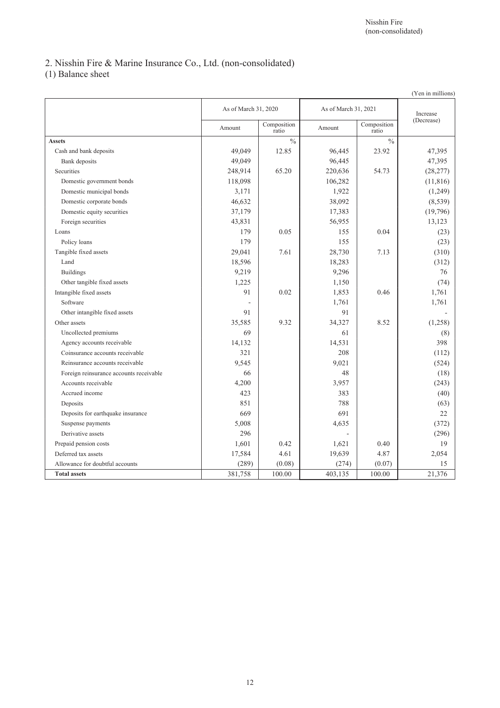## 2. Nisshin Fire & Marine Insurance Co., Ltd. (non-consolidated)

(1) Balance sheet

|                                         |                      |                      |                      |                      | (Yen in millions) |
|-----------------------------------------|----------------------|----------------------|----------------------|----------------------|-------------------|
|                                         | As of March 31, 2020 |                      | As of March 31, 2021 |                      | Increase          |
|                                         | Amount               | Composition<br>ratio | Amount               | Composition<br>ratio | (Decrease)        |
| <b>Assets</b>                           |                      | $\frac{0}{0}$        |                      | $\frac{0}{0}$        |                   |
| Cash and bank deposits                  | 49.049               | 12.85                | 96,445               | 23.92                | 47,395            |
| Bank deposits                           | 49,049               |                      | 96,445               |                      | 47,395            |
| Securities                              | 248,914              | 65.20                | 220,636              | 54.73                | (28, 277)         |
| Domestic government bonds               | 118,098              |                      | 106,282              |                      | (11, 816)         |
| Domestic municipal bonds                | 3,171                |                      | 1,922                |                      | (1,249)           |
| Domestic corporate bonds                | 46,632               |                      | 38,092               |                      | (8,539)           |
| Domestic equity securities              | 37,179               |                      | 17,383               |                      | (19,796)          |
| Foreign securities                      | 43,831               |                      | 56,955               |                      | 13,123            |
| Loans                                   | 179                  | 0.05                 | 155                  | 0.04                 | (23)              |
| Policy loans                            | 179                  |                      | 155                  |                      | (23)              |
| Tangible fixed assets                   | 29,041               | 7.61                 | 28,730               | 7.13                 | (310)             |
| Land                                    | 18,596               |                      | 18,283               |                      | (312)             |
| <b>Buildings</b>                        | 9,219                |                      | 9,296                |                      | 76                |
| Other tangible fixed assets             | 1,225                |                      | 1,150                |                      | (74)              |
| Intangible fixed assets                 | 91                   | 0.02                 | 1,853                | 0.46                 | 1,761             |
| Software                                | $\sim$               |                      | 1,761                |                      | 1,761             |
| Other intangible fixed assets           | 91                   |                      | 91                   |                      |                   |
| Other assets                            | 35,585               | 9.32                 | 34,327               | 8.52                 | (1,258)           |
| Uncollected premiums                    | 69                   |                      | 61                   |                      | (8)               |
| Agency accounts receivable              | 14,132               |                      | 14,531               |                      | 398               |
| Coinsurance accounts receivable         | 321                  |                      | 208                  |                      | (112)             |
| Reinsurance accounts receivable         | 9,545                |                      | 9,021                |                      | (524)             |
| Foreign reinsurance accounts receivable | 66                   |                      | 48                   |                      | (18)              |
| Accounts receivable                     | 4,200                |                      | 3,957                |                      | (243)             |
| Accrued income                          | 423                  |                      | 383                  |                      | (40)              |
| Deposits                                | 851                  |                      | 788                  |                      | (63)              |
| Deposits for earthquake insurance       | 669                  |                      | 691                  |                      | 22                |
| Suspense payments                       | 5,008                |                      | 4,635                |                      | (372)             |
| Derivative assets                       | 296                  |                      | ä,                   |                      | (296)             |
| Prepaid pension costs                   | 1,601                | 0.42                 | 1,621                | 0.40                 | 19                |
| Deferred tax assets                     | 17,584               | 4.61                 | 19,639               | 4.87                 | 2,054             |
| Allowance for doubtful accounts         | (289)                | (0.08)               | (274)                | (0.07)               | 15                |
| <b>Total assets</b>                     | 381,758              | 100.00               | 403, 135             | 100.00               | 21,376            |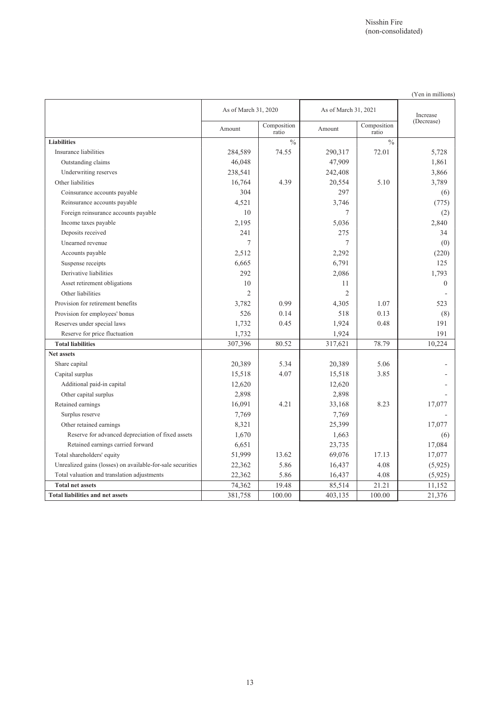(Yen in millions)

|                                                            | As of March 31, 2020 |                          | As of March 31, 2021 |                      | Increase   |
|------------------------------------------------------------|----------------------|--------------------------|----------------------|----------------------|------------|
|                                                            | Amount               | Composition<br>ratio     | Amount               | Composition<br>ratio | (Decrease) |
| <b>Liabilities</b>                                         |                      | $\overline{\frac{0}{6}}$ |                      | $\frac{0}{0}$        |            |
| Insurance liabilities                                      | 284,589              | 74.55                    | 290,317              | 72.01                | 5,728      |
| Outstanding claims                                         | 46,048               |                          | 47,909               |                      | 1,861      |
| Underwriting reserves                                      | 238,541              |                          | 242,408              |                      | 3,866      |
| Other liabilities                                          | 16,764               | 4.39                     | 20,554               | 5.10                 | 3,789      |
| Coinsurance accounts payable                               | 304                  |                          | 297                  |                      | (6)        |
| Reinsurance accounts payable                               | 4,521                |                          | 3,746                |                      | (775)      |
| Foreign reinsurance accounts payable                       | 10                   |                          | 7                    |                      | (2)        |
| Income taxes payable                                       | 2,195                |                          | 5,036                |                      | 2,840      |
| Deposits received                                          | 241                  |                          | 275                  |                      | 34         |
| Unearned revenue                                           | 7                    |                          | 7                    |                      | (0)        |
| Accounts payable                                           | 2,512                |                          | 2,292                |                      | (220)      |
| Suspense receipts                                          | 6,665                |                          | 6,791                |                      | 125        |
| Derivative liabilities                                     | 292                  |                          | 2,086                |                      | 1,793      |
| Asset retirement obligations                               | 10                   |                          | 11                   |                      | $\Omega$   |
| Other liabilities                                          | $\overline{c}$       |                          | $\overline{2}$       |                      |            |
| Provision for retirement benefits                          | 3,782                | 0.99                     | 4,305                | 1.07                 | 523        |
| Provision for employees' bonus                             | 526                  | 0.14                     | 518                  | 0.13                 | (8)        |
| Reserves under special laws                                | 1,732                | 0.45                     | 1,924                | 0.48                 | 191        |
| Reserve for price fluctuation                              | 1,732                |                          | 1,924                |                      | 191        |
| <b>Total liabilities</b>                                   | 307,396              | 80.52                    | 317,621              | 78.79                | 10,224     |
| <b>Net assets</b>                                          |                      |                          |                      |                      |            |
| Share capital                                              | 20,389               | 5.34                     | 20,389               | 5.06                 |            |
| Capital surplus                                            | 15,518               | 4.07                     | 15,518               | 3.85                 |            |
| Additional paid-in capital                                 | 12,620               |                          | 12,620               |                      |            |
| Other capital surplus                                      | 2,898                |                          | 2,898                |                      |            |
| Retained earnings                                          | 16,091               | 4.21                     | 33,168               | 8.23                 | 17,077     |
| Surplus reserve                                            | 7.769                |                          | 7,769                |                      |            |
| Other retained earnings                                    | 8,321                |                          | 25,399               |                      | 17,077     |
| Reserve for advanced depreciation of fixed assets          | 1,670                |                          | 1,663                |                      | (6)        |
| Retained earnings carried forward                          | 6,651                |                          | 23,735               |                      | 17,084     |
| Total shareholders' equity                                 | 51,999               | 13.62                    | 69,076               | 17.13                | 17,077     |
| Unrealized gains (losses) on available-for-sale securities | 22,362               | 5.86                     | 16,437               | 4.08                 | (5,925)    |
| Total valuation and translation adjustments                | 22,362               | 5.86                     | 16,437               | 4.08                 | (5,925)    |
| <b>Total net assets</b>                                    | 74,362               | 19.48                    | 85,514               | 21.21                | 11,152     |
| <b>Total liabilities and net assets</b>                    | 381,758              | 100.00                   | 403,135              | 100.00               | 21,376     |

13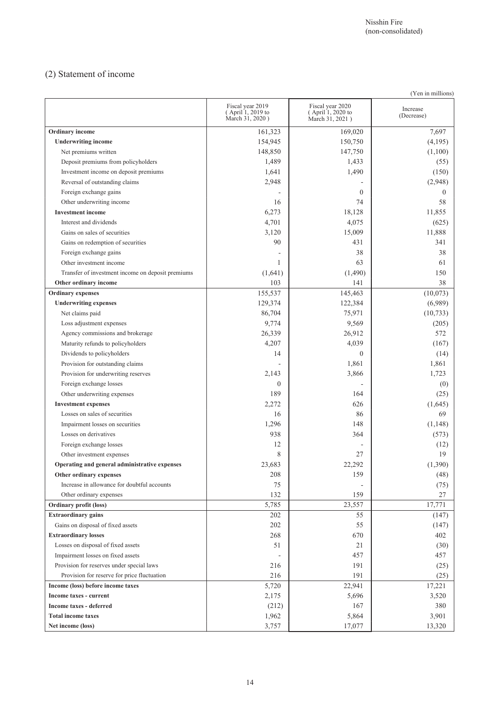## (2) Statement of income

| (Yen in millions)                                 |                                                          |                                                          |                        |  |  |
|---------------------------------------------------|----------------------------------------------------------|----------------------------------------------------------|------------------------|--|--|
|                                                   | Fiscal year 2019<br>(April 1, 2019 to<br>March 31, 2020) | Fiscal year 2020<br>(April 1, 2020 to<br>March 31, 2021) | Increase<br>(Decrease) |  |  |
| Ordinary income                                   | 161,323                                                  | 169,020                                                  | 7.697                  |  |  |
| <b>Underwriting income</b>                        | 154,945                                                  | 150,750                                                  | (4,195)                |  |  |
| Net premiums written                              | 148,850                                                  | 147,750                                                  | (1,100)                |  |  |
| Deposit premiums from policyholders               | 1,489                                                    | 1,433                                                    | (55)                   |  |  |
| Investment income on deposit premiums             | 1,641                                                    | 1,490                                                    | (150)                  |  |  |
| Reversal of outstanding claims                    | 2,948                                                    |                                                          | (2,948)                |  |  |
| Foreign exchange gains                            |                                                          | $\mathbf{0}$                                             | $\theta$               |  |  |
| Other underwriting income                         | 16                                                       | 74                                                       | 58                     |  |  |
| <b>Investment</b> income                          | 6,273                                                    | 18,128                                                   | 11,855                 |  |  |
| Interest and dividends                            | 4,701                                                    | 4,075                                                    | (625)                  |  |  |
| Gains on sales of securities                      | 3,120                                                    | 15,009                                                   | 11,888                 |  |  |
| Gains on redemption of securities                 | 90                                                       | 431                                                      | 341                    |  |  |
| Foreign exchange gains                            |                                                          | 38                                                       | 38                     |  |  |
| Other investment income                           | 1                                                        | 63                                                       | 61                     |  |  |
| Transfer of investment income on deposit premiums | (1,641)                                                  | (1,490)                                                  | 150                    |  |  |
| Other ordinary income                             | 103                                                      | 141                                                      | 38                     |  |  |
| <b>Ordinary</b> expenses                          | 155,537                                                  | 145,463                                                  | (10,073)               |  |  |
| <b>Underwriting expenses</b>                      | 129,374                                                  | 122,384                                                  | (6,989)                |  |  |
| Net claims paid                                   | 86,704                                                   | 75,971                                                   | (10, 733)              |  |  |
| Loss adjustment expenses                          | 9,774                                                    | 9,569                                                    | (205)                  |  |  |
| Agency commissions and brokerage                  | 26,339                                                   | 26,912                                                   | 572                    |  |  |
| Maturity refunds to policyholders                 | 4,207                                                    | 4,039                                                    | (167)                  |  |  |
| Dividends to policyholders                        | 14                                                       | $\Omega$                                                 | (14)                   |  |  |
| Provision for outstanding claims                  |                                                          | 1,861                                                    | 1,861                  |  |  |
| Provision for underwriting reserves               | 2,143                                                    | 3,866                                                    | 1,723                  |  |  |
| Foreign exchange losses                           | $\theta$                                                 |                                                          | (0)                    |  |  |
| Other underwriting expenses                       | 189                                                      | 164                                                      | (25)                   |  |  |
| <b>Investment expenses</b>                        | 2,272                                                    | 626                                                      | (1,645)                |  |  |
| Losses on sales of securities                     | 16                                                       | 86                                                       | 69                     |  |  |
| Impairment losses on securities                   | 1,296                                                    | 148                                                      | (1, 148)               |  |  |
| Losses on derivatives                             | 938                                                      | 364                                                      | (573)                  |  |  |
| Foreign exchange losses                           | 12                                                       |                                                          | (12)                   |  |  |
| Other investment expenses                         | 8                                                        | 27                                                       | 19                     |  |  |
| Operating and general administrative expenses     | 23,683                                                   | 22,292                                                   | (1, 390)               |  |  |
| Other ordinary expenses                           | 208                                                      | 159                                                      | (48)                   |  |  |
| Increase in allowance for doubtful accounts       | 75                                                       |                                                          | (75)                   |  |  |
| Other ordinary expenses                           | 132                                                      | 159                                                      | 27                     |  |  |
| <b>Ordinary profit (loss)</b>                     | 5,785                                                    | 23,557                                                   | 17,771                 |  |  |
| <b>Extraordinary gains</b>                        | 202                                                      | 55                                                       | (147)                  |  |  |
| Gains on disposal of fixed assets                 | 202                                                      | 55                                                       | (147)                  |  |  |
| <b>Extraordinary losses</b>                       | 268                                                      | 670                                                      | 402                    |  |  |
| Losses on disposal of fixed assets                | 51                                                       | 21                                                       | (30)                   |  |  |
| Impairment losses on fixed assets                 |                                                          | 457                                                      | 457                    |  |  |
| Provision for reserves under special laws         | 216                                                      | 191                                                      | (25)                   |  |  |
| Provision for reserve for price fluctuation       | 216                                                      | 191                                                      | (25)                   |  |  |
| Income (loss) before income taxes                 | 5,720                                                    | 22,941                                                   | 17,221                 |  |  |
| Income taxes - current                            | 2,175                                                    | 5,696                                                    | 3,520                  |  |  |
| Income taxes - deferred                           | (212)                                                    | 167                                                      | 380                    |  |  |
| <b>Total income taxes</b>                         | 1,962                                                    | 5,864                                                    | 3,901                  |  |  |
| Net income (loss)                                 | 3,757                                                    | 17,077                                                   | 13,320                 |  |  |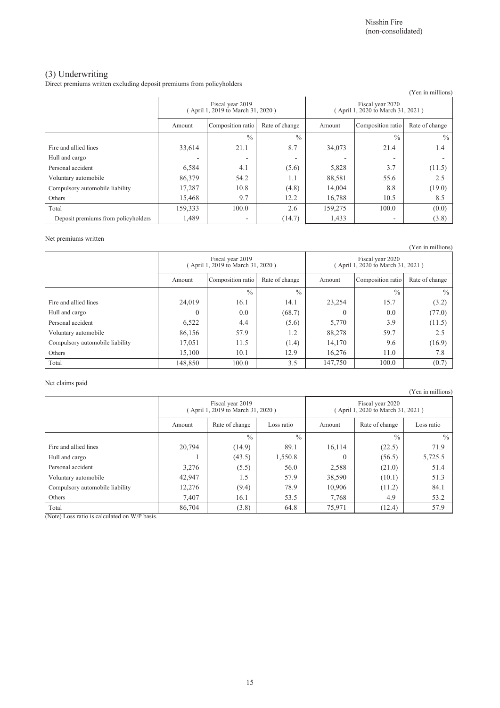## (3) Underwriting

Direct premiums written excluding deposit premiums from policyholders

| parece premiumo armen encuentum uepoon premiumo nom pone proiucio |                                                       |                   |                |                                                       |                   | (Yen in millions) |
|-------------------------------------------------------------------|-------------------------------------------------------|-------------------|----------------|-------------------------------------------------------|-------------------|-------------------|
|                                                                   | Fiscal year 2019<br>(April 1, 2019 to March 31, 2020) |                   |                | Fiscal year 2020<br>(April 1, 2020 to March 31, 2021) |                   |                   |
|                                                                   | Amount                                                | Composition ratio | Rate of change | Amount                                                | Composition ratio | Rate of change    |
|                                                                   |                                                       | $\frac{0}{0}$     | $\frac{0}{0}$  |                                                       | $\frac{0}{0}$     | $\frac{0}{0}$     |
| Fire and allied lines                                             | 33,614                                                | 21.1              | 8.7            | 34,073                                                | 21.4              | 1.4               |
| Hull and cargo                                                    |                                                       |                   |                |                                                       |                   |                   |
| Personal accident                                                 | 6,584                                                 | 4.1               | (5.6)          | 5,828                                                 | 3.7               | (11.5)            |
| Voluntary automobile                                              | 86,379                                                | 54.2              | 1.1            | 88,581                                                | 55.6              | 2.5               |
| Compulsory automobile liability                                   | 17,287                                                | 10.8              | (4.8)          | 14,004                                                | 8.8               | (19.0)            |
| Others                                                            | 15,468                                                | 9.7               | 12.2           | 16,788                                                | 10.5              | 8.5               |
| Total                                                             | 159,333                                               | 100.0             | 2.6            | 159,275                                               | 100.0             | (0.0)             |
| Deposit premiums from policyholders                               | 1,489                                                 | ٠                 | (14.7)         | 1,433                                                 | ٠                 | (3.8)             |

### Net premiums written

|                                 |                                                      |                   |                |                                                       |                   | (Yen in millions) |
|---------------------------------|------------------------------------------------------|-------------------|----------------|-------------------------------------------------------|-------------------|-------------------|
|                                 | Fiscal year 2019<br>April 1, 2019 to March 31, 2020) |                   |                | Fiscal year 2020<br>(April 1, 2020 to March 31, 2021) |                   |                   |
|                                 | Amount                                               | Composition ratio | Rate of change | Amount                                                | Composition ratio | Rate of change    |
|                                 |                                                      | $\frac{0}{0}$     | $\frac{0}{0}$  |                                                       | $\frac{0}{0}$     | $\frac{0}{0}$     |
| Fire and allied lines           | 24,019                                               | 16.1              | 14.1           | 23,254                                                | 15.7              | (3.2)             |
| Hull and cargo                  | $\Omega$                                             | 0.0               | (68.7)         | $\Omega$                                              | 0.0               | (77.0)            |
| Personal accident               | 6,522                                                | 4.4               | (5.6)          | 5,770                                                 | 3.9               | (11.5)            |
| Voluntary automobile            | 86,156                                               | 57.9              | 1.2            | 88,278                                                | 59.7              | 2.5               |
| Compulsory automobile liability | 17,051                                               | 11.5              | (1.4)          | 14,170                                                | 9.6               | (16.9)            |
| Others                          | 15,100                                               | 10.1              | 12.9           | 16,276                                                | 11.0              | 7.8               |
| Total                           | 148,850                                              | 100.0             | 3.5            | 147,750                                               | 100.0             | (0.7)             |

### Net claims paid

|                                 |                                                      |                              |               |                                                       |                | (Yen in millions) |
|---------------------------------|------------------------------------------------------|------------------------------|---------------|-------------------------------------------------------|----------------|-------------------|
|                                 | Fiscal year 2019<br>April 1, 2019 to March 31, 2020) |                              |               | Fiscal year 2020<br>(April 1, 2020 to March 31, 2021) |                |                   |
|                                 | Amount                                               | Rate of change<br>Loss ratio |               |                                                       | Rate of change | Loss ratio        |
|                                 |                                                      | $\frac{0}{0}$                | $\frac{0}{0}$ |                                                       | $\frac{0}{0}$  | $\frac{0}{0}$     |
| Fire and allied lines           | 20,794                                               | (14.9)                       | 89.1          | 16,114                                                | (22.5)         | 71.9              |
| Hull and cargo                  |                                                      | (43.5)                       | 1,550.8       | $\theta$                                              | (56.5)         | 5,725.5           |
| Personal accident               | 3,276                                                | (5.5)                        | 56.0          | 2,588                                                 | (21.0)         | 51.4              |
| Voluntary automobile            | 42,947                                               | 1.5                          | 57.9          | 38,590                                                | (10.1)         | 51.3              |
| Compulsory automobile liability | 12,276                                               | (9.4)                        | 78.9          | 10,906                                                | (11.2)         | 84.1              |
| Others                          | 7,407                                                | 16.1                         | 53.5          | 7,768                                                 | 4.9            | 53.2              |
| Total                           | 86,704                                               | (3.8)                        | 64.8          | 75,971                                                | (12.4)         | 57.9              |

(Note) Loss ratio is calculated on W/P basis.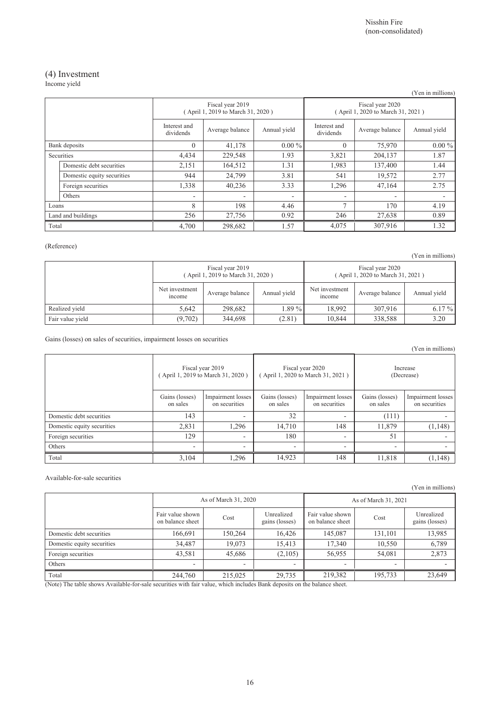Nisshin Fire (non-consolidated)

## (4) Investment

Income yield

|                           |                            |                          |                                                                                                                       |                          |                          |                                                       | (Yen in millions) |  |
|---------------------------|----------------------------|--------------------------|-----------------------------------------------------------------------------------------------------------------------|--------------------------|--------------------------|-------------------------------------------------------|-------------------|--|
|                           |                            |                          | Fiscal year 2019<br>(April 1, 2019 to March 31, 2020)<br>Interest and<br>Average balance<br>Annual yield<br>dividends |                          |                          | Fiscal year 2020<br>(April 1, 2020 to March 31, 2021) |                   |  |
|                           |                            |                          |                                                                                                                       |                          |                          | Average balance                                       | Annual yield      |  |
|                           | Bank deposits              | $\theta$                 | 41,178                                                                                                                | $0.00\%$                 | $\theta$                 | 75,970                                                | $0.00\%$          |  |
|                           | Securities                 | 4,434                    | 229,548                                                                                                               | 1.93                     | 3,821                    | 204,137                                               | 1.87              |  |
|                           | Domestic debt securities   | 2,151                    | 164,512                                                                                                               | 1.31                     | 1,983                    | 137,400                                               | 1.44              |  |
|                           | Domestic equity securities | 944                      | 24,799                                                                                                                | 3.81                     | 541                      | 19,572                                                | 2.77              |  |
|                           | Foreign securities         | 1,338                    | 40,236                                                                                                                | 3.33                     | 1,296                    | 47,164                                                | 2.75              |  |
|                           | Others                     | $\overline{\phantom{0}}$ | $\overline{\phantom{a}}$                                                                                              | $\overline{\phantom{0}}$ | $\overline{\phantom{0}}$ |                                                       |                   |  |
| 8<br>198<br>4.46<br>Loans |                            |                          | $\overline{ }$                                                                                                        | 170                      | 4.19                     |                                                       |                   |  |
|                           | Land and buildings         | 256                      | 27,756                                                                                                                | 0.92                     | 246                      | 27,638                                                | 0.89              |  |
| 4,700<br>Total            |                            | 298,682                  | 1.57                                                                                                                  | 4,075                    | 307,916                  | 1.32                                                  |                   |  |

### (Reference)

(Yen in millions)

|                  | Fiscal year 2019<br>(April 1, 2019 to March 31, 2020) |                 |              | Fiscal year 2020<br>(April 1, 2020 to March 31, 2021) |                 |              |
|------------------|-------------------------------------------------------|-----------------|--------------|-------------------------------------------------------|-----------------|--------------|
|                  | Net investment<br><i>ncome</i>                        | Average balance | Annual yield | Net investment<br>income                              | Average balance | Annual yield |
| Realized vield   | 5.642                                                 | 298.682         | 1.89 %       | 18.992                                                | 307,916         | $6.17\%$     |
| Fair value vield | (9,702)                                               | 344.698         | (2.81)       | 10.844                                                | 338,588         | 3.20         |

Gains (losses) on sales of securities, impairment losses on securities

|                            |                            |                                                       |                            |                                                       |                            | (Yen in millions)                  |
|----------------------------|----------------------------|-------------------------------------------------------|----------------------------|-------------------------------------------------------|----------------------------|------------------------------------|
|                            |                            | Fiscal year 2019<br>(April 1, 2019 to March 31, 2020) |                            | Fiscal year 2020<br>(April 1, 2020 to March 31, 2021) |                            | Increase<br>(Decrease)             |
|                            | Gains (losses)<br>on sales | Impairment losses<br>on securities                    | Gains (losses)<br>on sales | Impairment losses<br>on securities                    | Gains (losses)<br>on sales | Impairment losses<br>on securities |
| Domestic debt securities   | 143                        | ٠                                                     | 32                         |                                                       | (111)                      |                                    |
| Domestic equity securities | 2,831                      | 1,296                                                 | 14,710                     | 148                                                   | 11,879                     | (1, 148)                           |
| Foreign securities         | 129                        | $\overline{\phantom{a}}$                              | 180                        |                                                       | 51                         |                                    |
| Others                     | ٠                          | $\overline{\phantom{a}}$                              | $\overline{\phantom{a}}$   |                                                       | ۰                          |                                    |
| Total                      | 3,104                      | 1,296                                                 | 14,923                     | 148                                                   | 11,818                     | (1, 148)                           |

### Available-for-sale securities

|                            |                                      |                      |                              |                                      |                      | (Yen in millions)            |
|----------------------------|--------------------------------------|----------------------|------------------------------|--------------------------------------|----------------------|------------------------------|
|                            |                                      | As of March 31, 2020 |                              |                                      | As of March 31, 2021 |                              |
|                            | Fair value shown<br>on balance sheet | Cost                 | Unrealized<br>gains (losses) | Fair value shown<br>on balance sheet | Cost                 | Unrealized<br>gains (losses) |
| Domestic debt securities   | 166,691                              | 150,264              | 16,426                       | 145,087                              | 131,101              | 13,985                       |
| Domestic equity securities | 34,487                               | 19.073               | 15,413                       | 17,340                               | 10,550               | 6,789                        |
| Foreign securities         | 43,581                               | 45,686               | (2,105)                      | 56,955                               | 54,081               | 2,873                        |
| Others                     | $\overline{\phantom{0}}$             | ۰                    | ۰                            |                                      | -                    |                              |
| Total                      | 244,760                              | 215,025              | 29,735                       | 219,382                              | 195,733              | 23,649                       |

(Note) The table shows Available-for-sale securities with fair value, which includes Bank deposits on the balance sheet.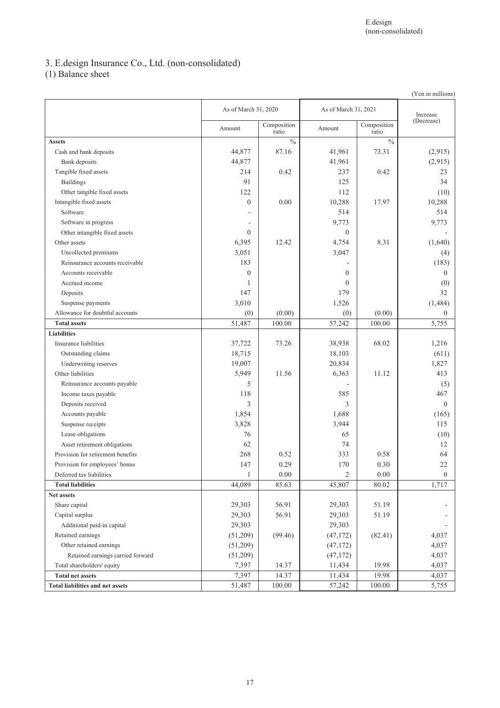## 3. E.design Insurance Co., Ltd. (non-consolidated)

(1) Balance sheet

| As of March 31, 2021<br>As of March 31, 2020<br>Increase<br>(Decrease)<br>Composition<br>Composition<br>Amount<br>Amount<br>ratio<br>ratio<br>$\frac{0}{0}$<br>$\frac{0}{0}$<br><b>Assets</b><br>87.16<br>41,961<br>73.31<br>(2,915)<br>Cash and bank deposits<br>44,877<br>(2,915)<br>44,877<br>41,961<br>Bank deposits<br>Tangible fixed assets<br>214<br>0.42<br>237<br>0.42<br>23<br>91<br>125<br>34<br><b>Buildings</b><br>Other tangible fixed assets<br>122<br>112<br>(10)<br>Intangible fixed assets<br>$\overline{0}$<br>0.00<br>10,288<br>17.97<br>10,288<br>Software<br>514<br>514<br>9,773<br>9,773<br>Software in progress<br>Other intangible fixed assets<br>$\mathbf{0}$<br>$\boldsymbol{0}$<br>Other assets<br>12.42<br>8.31<br>6,395<br>4,754<br>(1,640)<br>3,051<br>3,047<br>Uncollected premiums<br>(4)<br>Reinsurance accounts receivable<br>183<br>(183)<br>$\overline{0}$<br>Accounts receivable<br>$\mathbf{0}$<br>$\theta$<br>Accrued income<br>$\theta$<br>(0)<br>1<br>147<br>179<br>32<br>Deposits<br>3,010<br>1,526<br>(1, 484)<br>Suspense payments<br>Allowance for doubtful accounts<br>(0)<br>(0.00)<br>(0)<br>(0.00)<br>$\overline{0}$<br>51,487<br>57,242<br>100.00<br>100.00<br>5,755<br><b>Total assets</b><br><b>Liabilities</b><br>Insurance liabilities<br>73.26<br>38,938<br>68.02<br>1,216<br>37,722<br>18,715<br>18,103<br>(611)<br>Outstanding claims<br>19,007<br>20,834<br>1,827<br>Underwriting reserves<br>Other liabilities<br>5,949<br>11.56<br>6,363<br>11.12<br>413<br>5<br>(5)<br>Reinsurance accounts payable<br>118<br>585<br>467<br>Income taxes payable<br>3<br>3<br>$\overline{0}$<br>Deposits received<br>1,688<br>1,854<br>(165)<br>Accounts payable<br>3,828<br>3,944<br>115<br>Suspense receipts<br>76<br>65<br>(10)<br>Lease obligations<br>62<br>74<br>12<br>Asset retirement obligations<br>268<br>0.52<br>333<br>0.58<br>64<br>Provision for retirement benefits<br>147<br>0.29<br>170<br>0.30<br>22<br>Provision for employees' bonus<br>$\overline{2}$<br>0.00<br>$\boldsymbol{0}$<br>Deferred tax liabilities<br>0.00<br>1<br>44,089<br>85.63<br>80.02<br>1,717<br>45,807<br><b>Total liabilities</b><br>Net assets<br>29,303<br>56.91<br>29,303<br>51.19<br>Share capital<br>29,303<br>56.91<br>29,303<br>51.19<br>Capital surplus<br>29,303<br>29,303<br>Additional paid-in capital<br>(99.46)<br>Retained earnings<br>(51,209)<br>(47, 172)<br>(82.41)<br>4,037<br>Other retained earnings<br>(51,209)<br>4,037<br>(47, 172)<br>Retained earnings carried forward<br>(51,209)<br>(47, 172)<br>4,037<br>Total shareholders' equity<br>7,397<br>14.37<br>19.98<br>4,037<br>11,434<br>7,397<br><b>Total net assets</b><br>14.37<br>19.98<br>4,037<br>11,434<br>57,242<br>100.00<br><b>Total liabilities and net assets</b><br>51,487<br>100.00<br>5,755 |  |  |  |  | (Yen in millions) |
|-----------------------------------------------------------------------------------------------------------------------------------------------------------------------------------------------------------------------------------------------------------------------------------------------------------------------------------------------------------------------------------------------------------------------------------------------------------------------------------------------------------------------------------------------------------------------------------------------------------------------------------------------------------------------------------------------------------------------------------------------------------------------------------------------------------------------------------------------------------------------------------------------------------------------------------------------------------------------------------------------------------------------------------------------------------------------------------------------------------------------------------------------------------------------------------------------------------------------------------------------------------------------------------------------------------------------------------------------------------------------------------------------------------------------------------------------------------------------------------------------------------------------------------------------------------------------------------------------------------------------------------------------------------------------------------------------------------------------------------------------------------------------------------------------------------------------------------------------------------------------------------------------------------------------------------------------------------------------------------------------------------------------------------------------------------------------------------------------------------------------------------------------------------------------------------------------------------------------------------------------------------------------------------------------------------------------------------------------------------------------------------------------------------------------------------------------------------------------------------------------------------------------------------------------------------------------------------------------------------------------------------------------------------------------------------------------------------------------------------------------------------------------------------------------------------------------------|--|--|--|--|-------------------|
|                                                                                                                                                                                                                                                                                                                                                                                                                                                                                                                                                                                                                                                                                                                                                                                                                                                                                                                                                                                                                                                                                                                                                                                                                                                                                                                                                                                                                                                                                                                                                                                                                                                                                                                                                                                                                                                                                                                                                                                                                                                                                                                                                                                                                                                                                                                                                                                                                                                                                                                                                                                                                                                                                                                                                                                                                             |  |  |  |  |                   |
|                                                                                                                                                                                                                                                                                                                                                                                                                                                                                                                                                                                                                                                                                                                                                                                                                                                                                                                                                                                                                                                                                                                                                                                                                                                                                                                                                                                                                                                                                                                                                                                                                                                                                                                                                                                                                                                                                                                                                                                                                                                                                                                                                                                                                                                                                                                                                                                                                                                                                                                                                                                                                                                                                                                                                                                                                             |  |  |  |  |                   |
|                                                                                                                                                                                                                                                                                                                                                                                                                                                                                                                                                                                                                                                                                                                                                                                                                                                                                                                                                                                                                                                                                                                                                                                                                                                                                                                                                                                                                                                                                                                                                                                                                                                                                                                                                                                                                                                                                                                                                                                                                                                                                                                                                                                                                                                                                                                                                                                                                                                                                                                                                                                                                                                                                                                                                                                                                             |  |  |  |  |                   |
|                                                                                                                                                                                                                                                                                                                                                                                                                                                                                                                                                                                                                                                                                                                                                                                                                                                                                                                                                                                                                                                                                                                                                                                                                                                                                                                                                                                                                                                                                                                                                                                                                                                                                                                                                                                                                                                                                                                                                                                                                                                                                                                                                                                                                                                                                                                                                                                                                                                                                                                                                                                                                                                                                                                                                                                                                             |  |  |  |  |                   |
|                                                                                                                                                                                                                                                                                                                                                                                                                                                                                                                                                                                                                                                                                                                                                                                                                                                                                                                                                                                                                                                                                                                                                                                                                                                                                                                                                                                                                                                                                                                                                                                                                                                                                                                                                                                                                                                                                                                                                                                                                                                                                                                                                                                                                                                                                                                                                                                                                                                                                                                                                                                                                                                                                                                                                                                                                             |  |  |  |  |                   |
|                                                                                                                                                                                                                                                                                                                                                                                                                                                                                                                                                                                                                                                                                                                                                                                                                                                                                                                                                                                                                                                                                                                                                                                                                                                                                                                                                                                                                                                                                                                                                                                                                                                                                                                                                                                                                                                                                                                                                                                                                                                                                                                                                                                                                                                                                                                                                                                                                                                                                                                                                                                                                                                                                                                                                                                                                             |  |  |  |  |                   |
|                                                                                                                                                                                                                                                                                                                                                                                                                                                                                                                                                                                                                                                                                                                                                                                                                                                                                                                                                                                                                                                                                                                                                                                                                                                                                                                                                                                                                                                                                                                                                                                                                                                                                                                                                                                                                                                                                                                                                                                                                                                                                                                                                                                                                                                                                                                                                                                                                                                                                                                                                                                                                                                                                                                                                                                                                             |  |  |  |  |                   |
|                                                                                                                                                                                                                                                                                                                                                                                                                                                                                                                                                                                                                                                                                                                                                                                                                                                                                                                                                                                                                                                                                                                                                                                                                                                                                                                                                                                                                                                                                                                                                                                                                                                                                                                                                                                                                                                                                                                                                                                                                                                                                                                                                                                                                                                                                                                                                                                                                                                                                                                                                                                                                                                                                                                                                                                                                             |  |  |  |  |                   |
|                                                                                                                                                                                                                                                                                                                                                                                                                                                                                                                                                                                                                                                                                                                                                                                                                                                                                                                                                                                                                                                                                                                                                                                                                                                                                                                                                                                                                                                                                                                                                                                                                                                                                                                                                                                                                                                                                                                                                                                                                                                                                                                                                                                                                                                                                                                                                                                                                                                                                                                                                                                                                                                                                                                                                                                                                             |  |  |  |  |                   |
|                                                                                                                                                                                                                                                                                                                                                                                                                                                                                                                                                                                                                                                                                                                                                                                                                                                                                                                                                                                                                                                                                                                                                                                                                                                                                                                                                                                                                                                                                                                                                                                                                                                                                                                                                                                                                                                                                                                                                                                                                                                                                                                                                                                                                                                                                                                                                                                                                                                                                                                                                                                                                                                                                                                                                                                                                             |  |  |  |  |                   |
|                                                                                                                                                                                                                                                                                                                                                                                                                                                                                                                                                                                                                                                                                                                                                                                                                                                                                                                                                                                                                                                                                                                                                                                                                                                                                                                                                                                                                                                                                                                                                                                                                                                                                                                                                                                                                                                                                                                                                                                                                                                                                                                                                                                                                                                                                                                                                                                                                                                                                                                                                                                                                                                                                                                                                                                                                             |  |  |  |  |                   |
|                                                                                                                                                                                                                                                                                                                                                                                                                                                                                                                                                                                                                                                                                                                                                                                                                                                                                                                                                                                                                                                                                                                                                                                                                                                                                                                                                                                                                                                                                                                                                                                                                                                                                                                                                                                                                                                                                                                                                                                                                                                                                                                                                                                                                                                                                                                                                                                                                                                                                                                                                                                                                                                                                                                                                                                                                             |  |  |  |  |                   |
|                                                                                                                                                                                                                                                                                                                                                                                                                                                                                                                                                                                                                                                                                                                                                                                                                                                                                                                                                                                                                                                                                                                                                                                                                                                                                                                                                                                                                                                                                                                                                                                                                                                                                                                                                                                                                                                                                                                                                                                                                                                                                                                                                                                                                                                                                                                                                                                                                                                                                                                                                                                                                                                                                                                                                                                                                             |  |  |  |  |                   |
|                                                                                                                                                                                                                                                                                                                                                                                                                                                                                                                                                                                                                                                                                                                                                                                                                                                                                                                                                                                                                                                                                                                                                                                                                                                                                                                                                                                                                                                                                                                                                                                                                                                                                                                                                                                                                                                                                                                                                                                                                                                                                                                                                                                                                                                                                                                                                                                                                                                                                                                                                                                                                                                                                                                                                                                                                             |  |  |  |  |                   |
|                                                                                                                                                                                                                                                                                                                                                                                                                                                                                                                                                                                                                                                                                                                                                                                                                                                                                                                                                                                                                                                                                                                                                                                                                                                                                                                                                                                                                                                                                                                                                                                                                                                                                                                                                                                                                                                                                                                                                                                                                                                                                                                                                                                                                                                                                                                                                                                                                                                                                                                                                                                                                                                                                                                                                                                                                             |  |  |  |  |                   |
|                                                                                                                                                                                                                                                                                                                                                                                                                                                                                                                                                                                                                                                                                                                                                                                                                                                                                                                                                                                                                                                                                                                                                                                                                                                                                                                                                                                                                                                                                                                                                                                                                                                                                                                                                                                                                                                                                                                                                                                                                                                                                                                                                                                                                                                                                                                                                                                                                                                                                                                                                                                                                                                                                                                                                                                                                             |  |  |  |  |                   |
|                                                                                                                                                                                                                                                                                                                                                                                                                                                                                                                                                                                                                                                                                                                                                                                                                                                                                                                                                                                                                                                                                                                                                                                                                                                                                                                                                                                                                                                                                                                                                                                                                                                                                                                                                                                                                                                                                                                                                                                                                                                                                                                                                                                                                                                                                                                                                                                                                                                                                                                                                                                                                                                                                                                                                                                                                             |  |  |  |  |                   |
|                                                                                                                                                                                                                                                                                                                                                                                                                                                                                                                                                                                                                                                                                                                                                                                                                                                                                                                                                                                                                                                                                                                                                                                                                                                                                                                                                                                                                                                                                                                                                                                                                                                                                                                                                                                                                                                                                                                                                                                                                                                                                                                                                                                                                                                                                                                                                                                                                                                                                                                                                                                                                                                                                                                                                                                                                             |  |  |  |  |                   |
|                                                                                                                                                                                                                                                                                                                                                                                                                                                                                                                                                                                                                                                                                                                                                                                                                                                                                                                                                                                                                                                                                                                                                                                                                                                                                                                                                                                                                                                                                                                                                                                                                                                                                                                                                                                                                                                                                                                                                                                                                                                                                                                                                                                                                                                                                                                                                                                                                                                                                                                                                                                                                                                                                                                                                                                                                             |  |  |  |  |                   |
|                                                                                                                                                                                                                                                                                                                                                                                                                                                                                                                                                                                                                                                                                                                                                                                                                                                                                                                                                                                                                                                                                                                                                                                                                                                                                                                                                                                                                                                                                                                                                                                                                                                                                                                                                                                                                                                                                                                                                                                                                                                                                                                                                                                                                                                                                                                                                                                                                                                                                                                                                                                                                                                                                                                                                                                                                             |  |  |  |  |                   |
|                                                                                                                                                                                                                                                                                                                                                                                                                                                                                                                                                                                                                                                                                                                                                                                                                                                                                                                                                                                                                                                                                                                                                                                                                                                                                                                                                                                                                                                                                                                                                                                                                                                                                                                                                                                                                                                                                                                                                                                                                                                                                                                                                                                                                                                                                                                                                                                                                                                                                                                                                                                                                                                                                                                                                                                                                             |  |  |  |  |                   |
|                                                                                                                                                                                                                                                                                                                                                                                                                                                                                                                                                                                                                                                                                                                                                                                                                                                                                                                                                                                                                                                                                                                                                                                                                                                                                                                                                                                                                                                                                                                                                                                                                                                                                                                                                                                                                                                                                                                                                                                                                                                                                                                                                                                                                                                                                                                                                                                                                                                                                                                                                                                                                                                                                                                                                                                                                             |  |  |  |  |                   |
|                                                                                                                                                                                                                                                                                                                                                                                                                                                                                                                                                                                                                                                                                                                                                                                                                                                                                                                                                                                                                                                                                                                                                                                                                                                                                                                                                                                                                                                                                                                                                                                                                                                                                                                                                                                                                                                                                                                                                                                                                                                                                                                                                                                                                                                                                                                                                                                                                                                                                                                                                                                                                                                                                                                                                                                                                             |  |  |  |  |                   |
|                                                                                                                                                                                                                                                                                                                                                                                                                                                                                                                                                                                                                                                                                                                                                                                                                                                                                                                                                                                                                                                                                                                                                                                                                                                                                                                                                                                                                                                                                                                                                                                                                                                                                                                                                                                                                                                                                                                                                                                                                                                                                                                                                                                                                                                                                                                                                                                                                                                                                                                                                                                                                                                                                                                                                                                                                             |  |  |  |  |                   |
|                                                                                                                                                                                                                                                                                                                                                                                                                                                                                                                                                                                                                                                                                                                                                                                                                                                                                                                                                                                                                                                                                                                                                                                                                                                                                                                                                                                                                                                                                                                                                                                                                                                                                                                                                                                                                                                                                                                                                                                                                                                                                                                                                                                                                                                                                                                                                                                                                                                                                                                                                                                                                                                                                                                                                                                                                             |  |  |  |  |                   |
|                                                                                                                                                                                                                                                                                                                                                                                                                                                                                                                                                                                                                                                                                                                                                                                                                                                                                                                                                                                                                                                                                                                                                                                                                                                                                                                                                                                                                                                                                                                                                                                                                                                                                                                                                                                                                                                                                                                                                                                                                                                                                                                                                                                                                                                                                                                                                                                                                                                                                                                                                                                                                                                                                                                                                                                                                             |  |  |  |  |                   |
|                                                                                                                                                                                                                                                                                                                                                                                                                                                                                                                                                                                                                                                                                                                                                                                                                                                                                                                                                                                                                                                                                                                                                                                                                                                                                                                                                                                                                                                                                                                                                                                                                                                                                                                                                                                                                                                                                                                                                                                                                                                                                                                                                                                                                                                                                                                                                                                                                                                                                                                                                                                                                                                                                                                                                                                                                             |  |  |  |  |                   |
|                                                                                                                                                                                                                                                                                                                                                                                                                                                                                                                                                                                                                                                                                                                                                                                                                                                                                                                                                                                                                                                                                                                                                                                                                                                                                                                                                                                                                                                                                                                                                                                                                                                                                                                                                                                                                                                                                                                                                                                                                                                                                                                                                                                                                                                                                                                                                                                                                                                                                                                                                                                                                                                                                                                                                                                                                             |  |  |  |  |                   |
|                                                                                                                                                                                                                                                                                                                                                                                                                                                                                                                                                                                                                                                                                                                                                                                                                                                                                                                                                                                                                                                                                                                                                                                                                                                                                                                                                                                                                                                                                                                                                                                                                                                                                                                                                                                                                                                                                                                                                                                                                                                                                                                                                                                                                                                                                                                                                                                                                                                                                                                                                                                                                                                                                                                                                                                                                             |  |  |  |  |                   |
|                                                                                                                                                                                                                                                                                                                                                                                                                                                                                                                                                                                                                                                                                                                                                                                                                                                                                                                                                                                                                                                                                                                                                                                                                                                                                                                                                                                                                                                                                                                                                                                                                                                                                                                                                                                                                                                                                                                                                                                                                                                                                                                                                                                                                                                                                                                                                                                                                                                                                                                                                                                                                                                                                                                                                                                                                             |  |  |  |  |                   |
|                                                                                                                                                                                                                                                                                                                                                                                                                                                                                                                                                                                                                                                                                                                                                                                                                                                                                                                                                                                                                                                                                                                                                                                                                                                                                                                                                                                                                                                                                                                                                                                                                                                                                                                                                                                                                                                                                                                                                                                                                                                                                                                                                                                                                                                                                                                                                                                                                                                                                                                                                                                                                                                                                                                                                                                                                             |  |  |  |  |                   |
|                                                                                                                                                                                                                                                                                                                                                                                                                                                                                                                                                                                                                                                                                                                                                                                                                                                                                                                                                                                                                                                                                                                                                                                                                                                                                                                                                                                                                                                                                                                                                                                                                                                                                                                                                                                                                                                                                                                                                                                                                                                                                                                                                                                                                                                                                                                                                                                                                                                                                                                                                                                                                                                                                                                                                                                                                             |  |  |  |  |                   |
|                                                                                                                                                                                                                                                                                                                                                                                                                                                                                                                                                                                                                                                                                                                                                                                                                                                                                                                                                                                                                                                                                                                                                                                                                                                                                                                                                                                                                                                                                                                                                                                                                                                                                                                                                                                                                                                                                                                                                                                                                                                                                                                                                                                                                                                                                                                                                                                                                                                                                                                                                                                                                                                                                                                                                                                                                             |  |  |  |  |                   |
|                                                                                                                                                                                                                                                                                                                                                                                                                                                                                                                                                                                                                                                                                                                                                                                                                                                                                                                                                                                                                                                                                                                                                                                                                                                                                                                                                                                                                                                                                                                                                                                                                                                                                                                                                                                                                                                                                                                                                                                                                                                                                                                                                                                                                                                                                                                                                                                                                                                                                                                                                                                                                                                                                                                                                                                                                             |  |  |  |  |                   |
|                                                                                                                                                                                                                                                                                                                                                                                                                                                                                                                                                                                                                                                                                                                                                                                                                                                                                                                                                                                                                                                                                                                                                                                                                                                                                                                                                                                                                                                                                                                                                                                                                                                                                                                                                                                                                                                                                                                                                                                                                                                                                                                                                                                                                                                                                                                                                                                                                                                                                                                                                                                                                                                                                                                                                                                                                             |  |  |  |  |                   |
|                                                                                                                                                                                                                                                                                                                                                                                                                                                                                                                                                                                                                                                                                                                                                                                                                                                                                                                                                                                                                                                                                                                                                                                                                                                                                                                                                                                                                                                                                                                                                                                                                                                                                                                                                                                                                                                                                                                                                                                                                                                                                                                                                                                                                                                                                                                                                                                                                                                                                                                                                                                                                                                                                                                                                                                                                             |  |  |  |  |                   |
|                                                                                                                                                                                                                                                                                                                                                                                                                                                                                                                                                                                                                                                                                                                                                                                                                                                                                                                                                                                                                                                                                                                                                                                                                                                                                                                                                                                                                                                                                                                                                                                                                                                                                                                                                                                                                                                                                                                                                                                                                                                                                                                                                                                                                                                                                                                                                                                                                                                                                                                                                                                                                                                                                                                                                                                                                             |  |  |  |  |                   |
|                                                                                                                                                                                                                                                                                                                                                                                                                                                                                                                                                                                                                                                                                                                                                                                                                                                                                                                                                                                                                                                                                                                                                                                                                                                                                                                                                                                                                                                                                                                                                                                                                                                                                                                                                                                                                                                                                                                                                                                                                                                                                                                                                                                                                                                                                                                                                                                                                                                                                                                                                                                                                                                                                                                                                                                                                             |  |  |  |  |                   |
|                                                                                                                                                                                                                                                                                                                                                                                                                                                                                                                                                                                                                                                                                                                                                                                                                                                                                                                                                                                                                                                                                                                                                                                                                                                                                                                                                                                                                                                                                                                                                                                                                                                                                                                                                                                                                                                                                                                                                                                                                                                                                                                                                                                                                                                                                                                                                                                                                                                                                                                                                                                                                                                                                                                                                                                                                             |  |  |  |  |                   |
|                                                                                                                                                                                                                                                                                                                                                                                                                                                                                                                                                                                                                                                                                                                                                                                                                                                                                                                                                                                                                                                                                                                                                                                                                                                                                                                                                                                                                                                                                                                                                                                                                                                                                                                                                                                                                                                                                                                                                                                                                                                                                                                                                                                                                                                                                                                                                                                                                                                                                                                                                                                                                                                                                                                                                                                                                             |  |  |  |  |                   |
|                                                                                                                                                                                                                                                                                                                                                                                                                                                                                                                                                                                                                                                                                                                                                                                                                                                                                                                                                                                                                                                                                                                                                                                                                                                                                                                                                                                                                                                                                                                                                                                                                                                                                                                                                                                                                                                                                                                                                                                                                                                                                                                                                                                                                                                                                                                                                                                                                                                                                                                                                                                                                                                                                                                                                                                                                             |  |  |  |  |                   |
|                                                                                                                                                                                                                                                                                                                                                                                                                                                                                                                                                                                                                                                                                                                                                                                                                                                                                                                                                                                                                                                                                                                                                                                                                                                                                                                                                                                                                                                                                                                                                                                                                                                                                                                                                                                                                                                                                                                                                                                                                                                                                                                                                                                                                                                                                                                                                                                                                                                                                                                                                                                                                                                                                                                                                                                                                             |  |  |  |  |                   |
|                                                                                                                                                                                                                                                                                                                                                                                                                                                                                                                                                                                                                                                                                                                                                                                                                                                                                                                                                                                                                                                                                                                                                                                                                                                                                                                                                                                                                                                                                                                                                                                                                                                                                                                                                                                                                                                                                                                                                                                                                                                                                                                                                                                                                                                                                                                                                                                                                                                                                                                                                                                                                                                                                                                                                                                                                             |  |  |  |  |                   |
|                                                                                                                                                                                                                                                                                                                                                                                                                                                                                                                                                                                                                                                                                                                                                                                                                                                                                                                                                                                                                                                                                                                                                                                                                                                                                                                                                                                                                                                                                                                                                                                                                                                                                                                                                                                                                                                                                                                                                                                                                                                                                                                                                                                                                                                                                                                                                                                                                                                                                                                                                                                                                                                                                                                                                                                                                             |  |  |  |  |                   |
|                                                                                                                                                                                                                                                                                                                                                                                                                                                                                                                                                                                                                                                                                                                                                                                                                                                                                                                                                                                                                                                                                                                                                                                                                                                                                                                                                                                                                                                                                                                                                                                                                                                                                                                                                                                                                                                                                                                                                                                                                                                                                                                                                                                                                                                                                                                                                                                                                                                                                                                                                                                                                                                                                                                                                                                                                             |  |  |  |  |                   |
|                                                                                                                                                                                                                                                                                                                                                                                                                                                                                                                                                                                                                                                                                                                                                                                                                                                                                                                                                                                                                                                                                                                                                                                                                                                                                                                                                                                                                                                                                                                                                                                                                                                                                                                                                                                                                                                                                                                                                                                                                                                                                                                                                                                                                                                                                                                                                                                                                                                                                                                                                                                                                                                                                                                                                                                                                             |  |  |  |  |                   |
|                                                                                                                                                                                                                                                                                                                                                                                                                                                                                                                                                                                                                                                                                                                                                                                                                                                                                                                                                                                                                                                                                                                                                                                                                                                                                                                                                                                                                                                                                                                                                                                                                                                                                                                                                                                                                                                                                                                                                                                                                                                                                                                                                                                                                                                                                                                                                                                                                                                                                                                                                                                                                                                                                                                                                                                                                             |  |  |  |  |                   |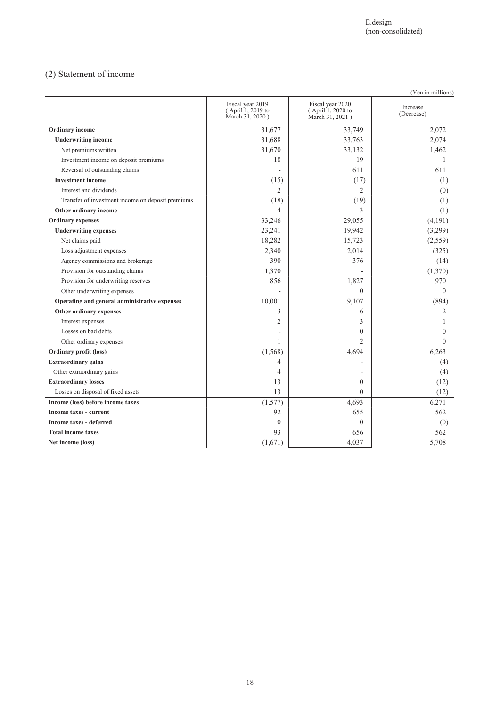## (2) Statement of income

|                                                   |                                                          |                                                          | (Yen in millions)      |
|---------------------------------------------------|----------------------------------------------------------|----------------------------------------------------------|------------------------|
|                                                   | Fiscal year 2019<br>(April 1, 2019 to<br>March 31, 2020) | Fiscal year 2020<br>(April 1, 2020 to<br>March 31, 2021) | Increase<br>(Decrease) |
| <b>Ordinary</b> income                            | 31,677                                                   | 33,749                                                   | 2,072                  |
| <b>Underwriting income</b>                        | 31,688                                                   | 33,763                                                   | 2,074                  |
| Net premiums written                              | 31,670                                                   | 33,132                                                   | 1,462                  |
| Investment income on deposit premiums             | 18                                                       | 19                                                       |                        |
| Reversal of outstanding claims                    |                                                          | 611                                                      | 611                    |
| <b>Investment income</b>                          | (15)                                                     | (17)                                                     | (1)                    |
| Interest and dividends                            | $\overline{2}$                                           | $\overline{2}$                                           | (0)                    |
| Transfer of investment income on deposit premiums | (18)                                                     | (19)                                                     | (1)                    |
| Other ordinary income                             | $\overline{4}$                                           | 3                                                        | (1)                    |
| <b>Ordinary</b> expenses                          | 33,246                                                   | 29,055                                                   | (4,191)                |
| <b>Underwriting expenses</b>                      | 23,241                                                   | 19,942                                                   | (3,299)                |
| Net claims paid                                   | 18,282                                                   | 15,723                                                   | (2,559)                |
| Loss adjustment expenses                          | 2,340                                                    | 2,014                                                    | (325)                  |
| Agency commissions and brokerage                  | 390                                                      | 376                                                      | (14)                   |
| Provision for outstanding claims                  | 1,370                                                    |                                                          | (1,370)                |
| Provision for underwriting reserves               | 856                                                      | 1,827                                                    | 970                    |
| Other underwriting expenses                       |                                                          | $\mathbf{0}$                                             | $\Omega$               |
| Operating and general administrative expenses     | 10,001                                                   | 9,107                                                    | (894)                  |
| Other ordinary expenses                           | 3                                                        | 6                                                        | 2                      |
| Interest expenses                                 | $\overline{c}$                                           | 3                                                        |                        |
| Losses on bad debts                               |                                                          | $\mathbf{0}$                                             | $\Omega$               |
| Other ordinary expenses                           | 1                                                        | $\overline{c}$                                           | $\theta$               |
| Ordinary profit (loss)                            | (1, 568)                                                 | 4,694                                                    | 6,263                  |
| <b>Extraordinary gains</b>                        | 4                                                        |                                                          | (4)                    |
| Other extraordinary gains                         | $\overline{4}$                                           |                                                          | (4)                    |
| <b>Extraordinary losses</b>                       | 13                                                       | $\mathbf{0}$                                             | (12)                   |
| Losses on disposal of fixed assets                | 13                                                       | $\Omega$                                                 | (12)                   |
| Income (loss) before income taxes                 | (1,577)                                                  | 4,693                                                    | 6,271                  |
| Income taxes - current                            | 92                                                       | 655                                                      | 562                    |
| <b>Income taxes - deferred</b>                    | $\theta$                                                 | $\theta$                                                 | (0)                    |
| <b>Total income taxes</b>                         | 93                                                       | 656                                                      | 562                    |
| Net income (loss)                                 | (1,671)                                                  | 4,037                                                    | 5,708                  |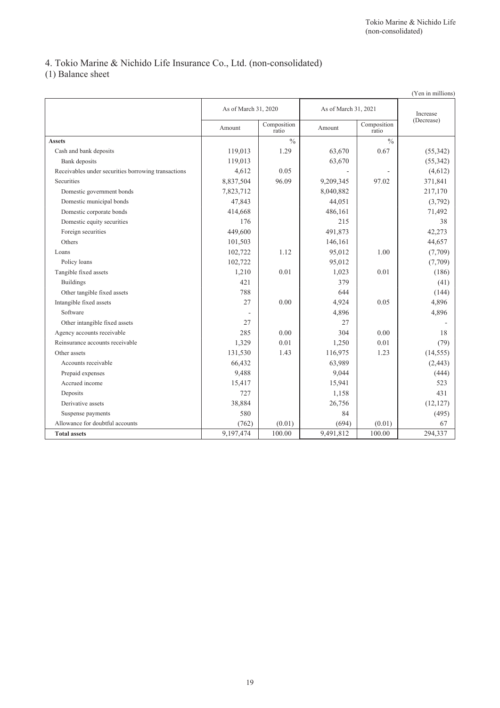## 4. Tokio Marine & Nichido Life Insurance Co., Ltd. (non-consolidated)

(1) Balance sheet

|                                                     |                      |                      |                      |                      | (Yen in millions) |
|-----------------------------------------------------|----------------------|----------------------|----------------------|----------------------|-------------------|
|                                                     | As of March 31, 2020 |                      | As of March 31, 2021 |                      | Increase          |
|                                                     | Amount               | Composition<br>ratio | Amount               | Composition<br>ratio | (Decrease)        |
| <b>Assets</b>                                       |                      | $\frac{0}{0}$        |                      | $\frac{0}{0}$        |                   |
| Cash and bank deposits                              | 119,013              | 1.29                 | 63,670               | 0.67                 | (55,342)          |
| Bank deposits                                       | 119,013              |                      | 63,670               |                      | (55,342)          |
| Receivables under securities borrowing transactions | 4,612                | 0.05                 |                      | ÷,                   | (4,612)           |
| Securities                                          | 8,837,504            | 96.09                | 9,209,345            | 97.02                | 371,841           |
| Domestic government bonds                           | 7,823,712            |                      | 8,040,882            |                      | 217,170           |
| Domestic municipal bonds                            | 47,843               |                      | 44,051               |                      | (3,792)           |
| Domestic corporate bonds                            | 414,668              |                      | 486,161              |                      | 71,492            |
| Domestic equity securities                          | 176                  |                      | 215                  |                      | 38                |
| Foreign securities                                  | 449,600              |                      | 491,873              |                      | 42,273            |
| Others                                              | 101,503              |                      | 146,161              |                      | 44,657            |
| Loans                                               | 102,722              | 1.12                 | 95,012               | 1.00                 | (7,709)           |
| Policy loans                                        | 102,722              |                      | 95,012               |                      | (7,709)           |
| Tangible fixed assets                               | 1,210                | 0.01                 | 1,023                | 0.01                 | (186)             |
| <b>Buildings</b>                                    | 421                  |                      | 379                  |                      | (41)              |
| Other tangible fixed assets                         | 788                  |                      | 644                  |                      | (144)             |
| Intangible fixed assets                             | 27                   | 0.00                 | 4,924                | 0.05                 | 4,896             |
| Software                                            |                      |                      | 4,896                |                      | 4,896             |
| Other intangible fixed assets                       | 27                   |                      | 27                   |                      |                   |
| Agency accounts receivable                          | 285                  | 0.00                 | 304                  | 0.00                 | 18                |
| Reinsurance accounts receivable                     | 1,329                | 0.01                 | 1,250                | 0.01                 | (79)              |
| Other assets                                        | 131,530              | 1.43                 | 116,975              | 1.23                 | (14, 555)         |
| Accounts receivable                                 | 66,432               |                      | 63,989               |                      | (2, 443)          |
| Prepaid expenses                                    | 9,488                |                      | 9,044                |                      | (444)             |
| Accrued income                                      | 15,417               |                      | 15,941               |                      | 523               |
| Deposits                                            | 727                  |                      | 1,158                |                      | 431               |
| Derivative assets                                   | 38,884               |                      | 26,756               |                      | (12, 127)         |
| Suspense payments                                   | 580                  |                      | 84                   |                      | (495)             |
| Allowance for doubtful accounts                     | (762)                | (0.01)               | (694)                | (0.01)               | 67                |
| <b>Total assets</b>                                 | 9,197,474            | 100.00               | 9,491,812            | 100.00               | 294,337           |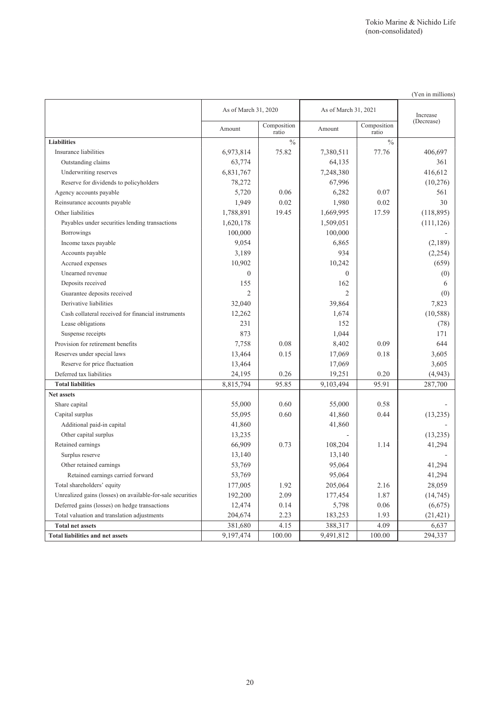|                                                            | As of March 31, 2020 |                      | As of March 31, 2021 |                      | Increase   |  |
|------------------------------------------------------------|----------------------|----------------------|----------------------|----------------------|------------|--|
|                                                            | Amount               | Composition<br>ratio | Amount               | Composition<br>ratio | (Decrease) |  |
| <b>Liabilities</b>                                         |                      | $\%$                 |                      | $\frac{0}{0}$        |            |  |
| Insurance liabilities                                      | 6,973,814            | 75.82                | 7,380,511            | 77.76                | 406.697    |  |
| Outstanding claims                                         | 63,774               |                      | 64,135               |                      | 361        |  |
| Underwriting reserves                                      | 6,831,767            |                      | 7,248,380            |                      | 416,612    |  |
| Reserve for dividends to policyholders                     | 78,272               |                      | 67,996               |                      | (10,276)   |  |
| Agency accounts payable                                    | 5,720                | 0.06                 | 6,282                | 0.07                 | 561        |  |
| Reinsurance accounts payable                               | 1,949                | 0.02                 | 1,980                | 0.02                 | 30         |  |
| Other liabilities                                          | 1,788,891            | 19.45                | 1,669,995            | 17.59                | (118, 895) |  |
| Payables under securities lending transactions             | 1,620,178            |                      | 1,509,051            |                      | (111, 126) |  |
| <b>Borrowings</b>                                          | 100,000              |                      | 100,000              |                      |            |  |
| Income taxes payable                                       | 9,054                |                      | 6,865                |                      | (2,189)    |  |
| Accounts payable                                           | 3,189                |                      | 934                  |                      | (2, 254)   |  |
| Accrued expenses                                           | 10,902               |                      | 10,242               |                      | (659)      |  |
| Unearned revenue                                           | $\theta$             |                      | $\mathbf{0}$         |                      | (0)        |  |
| Deposits received                                          | 155                  |                      | 162                  |                      | 6          |  |
| Guarantee deposits received                                | $\overline{2}$       |                      | $\overline{c}$       |                      | (0)        |  |
| Derivative liabilities                                     | 32,040               |                      | 39,864               |                      | 7,823      |  |
| Cash collateral received for financial instruments         | 12,262               |                      | 1,674                |                      | (10, 588)  |  |
| Lease obligations                                          | 231                  |                      | 152                  |                      | (78)       |  |
| Suspense receipts                                          | 873                  |                      | 1,044                |                      | 171        |  |
| Provision for retirement benefits                          | 7,758                | 0.08                 | 8,402                | 0.09                 | 644        |  |
| Reserves under special laws                                | 13,464               | 0.15                 | 17,069               | 0.18                 | 3,605      |  |
| Reserve for price fluctuation                              | 13,464               |                      | 17,069               |                      | 3,605      |  |
| Deferred tax liabilities                                   | 24,195               | 0.26                 | 19,251               | 0.20                 | (4,943)    |  |
| <b>Total liabilities</b>                                   | 8,815,794            | 95.85                | 9,103,494            | 95.91                | 287,700    |  |
| Net assets                                                 |                      |                      |                      |                      |            |  |
| Share capital                                              | 55,000               | 0.60                 | 55,000               | 0.58                 |            |  |
| Capital surplus                                            | 55,095               | 0.60                 | 41,860               | 0.44                 | (13,235)   |  |
| Additional paid-in capital                                 | 41,860               |                      | 41,860               |                      |            |  |
| Other capital surplus                                      | 13,235               |                      |                      |                      | (13,235)   |  |
| Retained earnings                                          | 66,909               | 0.73                 | 108,204              | 1.14                 | 41,294     |  |
| Surplus reserve                                            | 13,140               |                      | 13,140               |                      |            |  |
| Other retained earnings                                    | 53,769               |                      | 95,064               |                      | 41,294     |  |
| Retained earnings carried forward                          | 53,769               |                      | 95,064               |                      | 41,294     |  |
| Total shareholders' equity                                 | 177,005              | 1.92                 | 205,064              | 2.16                 | 28,059     |  |
| Unrealized gains (losses) on available-for-sale securities | 192,200              | 2.09                 | 177,454              | 1.87                 | (14, 745)  |  |
| Deferred gains (losses) on hedge transactions              | 12,474               | 0.14                 | 5,798                | 0.06                 | (6,675)    |  |
| Total valuation and translation adjustments                | 204,674              | 2.23                 | 183,253              | 1.93                 | (21, 421)  |  |
| <b>Total net assets</b>                                    | 381,680              | 4.15                 | 388,317              | 4.09                 | 6,637      |  |
| <b>Total liabilities and net assets</b>                    | 9, 197, 474          | 100.00               | 9,491,812            | 100.00               | 294,337    |  |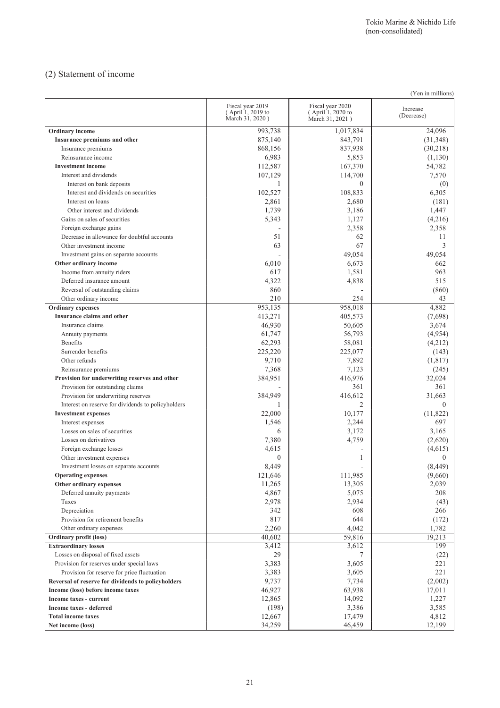## (2) Statement of income

|                                                                | (Yen in millions)                                        |                                                          |                        |  |  |  |
|----------------------------------------------------------------|----------------------------------------------------------|----------------------------------------------------------|------------------------|--|--|--|
|                                                                | Fiscal year 2019<br>(April 1, 2019 to<br>March 31, 2020) | Fiscal year 2020<br>(April 1, 2020 to<br>March 31, 2021) | Increase<br>(Decrease) |  |  |  |
| Ordinary income                                                | 993,738                                                  | 1,017,834                                                | 24,096                 |  |  |  |
| Insurance premiums and other                                   | 875,140                                                  | 843.791                                                  | (31,348)               |  |  |  |
| Insurance premiums                                             | 868,156                                                  | 837,938                                                  | (30,218)               |  |  |  |
| Reinsurance income                                             | 6,983                                                    | 5,853                                                    | (1,130)                |  |  |  |
| <b>Investment income</b>                                       | 112,587                                                  | 167,370                                                  | 54,782                 |  |  |  |
| Interest and dividends                                         | 107,129                                                  | 114,700                                                  | 7,570                  |  |  |  |
| Interest on bank deposits                                      | 1                                                        | $\Omega$                                                 | (0)                    |  |  |  |
| Interest and dividends on securities                           | 102,527                                                  | 108,833                                                  | 6,305                  |  |  |  |
| Interest on loans                                              | 2,861                                                    | 2,680                                                    | (181)                  |  |  |  |
| Other interest and dividends                                   | 1,739                                                    | 3,186                                                    | 1,447                  |  |  |  |
| Gains on sales of securities                                   | 5,343                                                    | 1,127                                                    | (4,216)                |  |  |  |
| Foreign exchange gains                                         |                                                          | 2,358                                                    | 2,358                  |  |  |  |
| Decrease in allowance for doubtful accounts                    | 51                                                       | 62                                                       | 11                     |  |  |  |
| Other investment income                                        | 63                                                       | 67                                                       | 3                      |  |  |  |
|                                                                |                                                          | 49,054                                                   | 49,054                 |  |  |  |
| Investment gains on separate accounts<br>Other ordinary income |                                                          | 6,673                                                    | 662                    |  |  |  |
|                                                                | 6,010                                                    |                                                          |                        |  |  |  |
| Income from annuity riders                                     | 617                                                      | 1,581                                                    | 963                    |  |  |  |
| Deferred insurance amount                                      | 4,322                                                    | 4,838                                                    | 515                    |  |  |  |
| Reversal of outstanding claims                                 | 860                                                      |                                                          | (860)                  |  |  |  |
| Other ordinary income                                          | 210                                                      | 254                                                      | 43                     |  |  |  |
| <b>Ordinary</b> expenses                                       | 953,135                                                  | 958,018                                                  | 4,882                  |  |  |  |
| Insurance claims and other                                     | 413,271                                                  | 405,573                                                  | (7,698)                |  |  |  |
| Insurance claims                                               | 46,930                                                   | 50,605                                                   | 3,674                  |  |  |  |
| Annuity payments                                               | 61,747                                                   | 56,793                                                   | (4,954)                |  |  |  |
| Benefits                                                       | 62,293                                                   | 58,081                                                   | (4,212)                |  |  |  |
| Surrender benefits                                             | 225,220                                                  | 225,077                                                  | (143)                  |  |  |  |
| Other refunds                                                  | 9,710                                                    | 7,892                                                    | (1, 817)               |  |  |  |
| Reinsurance premiums                                           | 7,368                                                    | 7,123                                                    | (245)                  |  |  |  |
| Provision for underwriting reserves and other                  | 384,951                                                  | 416,976                                                  | 32,024                 |  |  |  |
| Provision for outstanding claims                               |                                                          | 361                                                      | 361                    |  |  |  |
| Provision for underwriting reserves                            | 384,949                                                  | 416,612                                                  | 31,663                 |  |  |  |
| Interest on reserve for dividends to policyholders             | 1                                                        | $\mathcal{L}$                                            | $\Omega$               |  |  |  |
| <b>Investment expenses</b>                                     | 22,000                                                   | 10,177                                                   | (11, 822)              |  |  |  |
| Interest expenses                                              | 1,546                                                    | 2,244                                                    | 697                    |  |  |  |
| Losses on sales of securities                                  | 6                                                        | 3,172                                                    | 3,165                  |  |  |  |
| Losses on derivatives                                          | 7,380                                                    | 4,759                                                    | (2,620)                |  |  |  |
| Foreign exchange losses                                        | 4,615                                                    |                                                          | (4,615)                |  |  |  |
| Other investment expenses                                      | $\theta$                                                 | 1                                                        | $\theta$               |  |  |  |
| Investment losses on separate accounts                         | 8,449                                                    |                                                          | (8, 449)               |  |  |  |
| <b>Operating expenses</b>                                      | 121,646                                                  | 111,985                                                  | (9,660)                |  |  |  |
| Other ordinary expenses                                        | 11,265                                                   | 13,305                                                   | 2,039                  |  |  |  |
| Deferred annuity payments                                      | 4,867                                                    | 5,075                                                    | 208                    |  |  |  |
| Taxes                                                          | 2,978                                                    | 2,934                                                    | (43)                   |  |  |  |
| Depreciation                                                   | 342                                                      | 608                                                      | 266                    |  |  |  |
| Provision for retirement benefits                              | 817                                                      | 644                                                      |                        |  |  |  |
|                                                                |                                                          |                                                          | (172)                  |  |  |  |
| Other ordinary expenses                                        | 2,260                                                    | 4,042                                                    | 1,782                  |  |  |  |
| <b>Ordinary profit (loss)</b>                                  | 40,602                                                   | 59,816                                                   | 19,213                 |  |  |  |
| <b>Extraordinary losses</b>                                    | 3,412                                                    | 3,612                                                    | 199                    |  |  |  |
| Losses on disposal of fixed assets                             | 29                                                       | 7                                                        | (22)                   |  |  |  |
| Provision for reserves under special laws                      | 3,383                                                    | 3,605                                                    | 221                    |  |  |  |
| Provision for reserve for price fluctuation                    | 3,383                                                    | 3,605                                                    | 221                    |  |  |  |
| Reversal of reserve for dividends to policyholders             | 9,737                                                    | 7,734                                                    | (2,002)                |  |  |  |
| Income (loss) before income taxes                              | 46,927                                                   | 63,938                                                   | 17,011                 |  |  |  |
| Income taxes - current                                         | 12,865                                                   | 14,092                                                   | 1,227                  |  |  |  |
| Income taxes - deferred                                        | (198)                                                    | 3,386                                                    | 3,585                  |  |  |  |
| <b>Total income taxes</b>                                      | 12,667                                                   | 17,479                                                   | 4,812                  |  |  |  |
| Net income (loss)                                              | 34,259                                                   | 46,459                                                   | 12,199                 |  |  |  |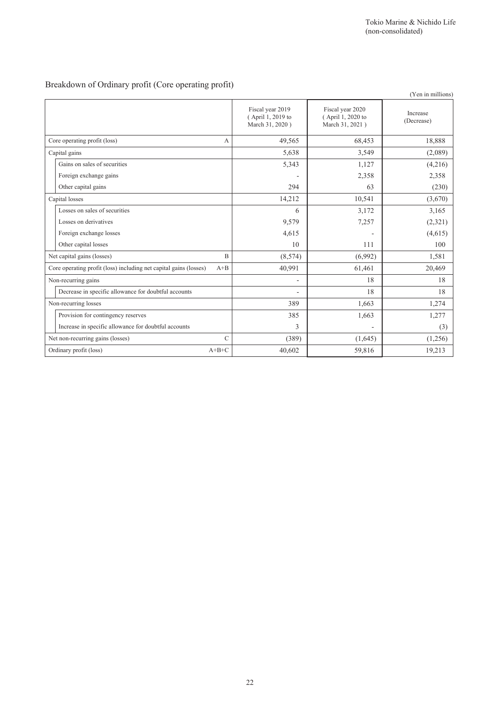## Breakdown of Ordinary profit (Core operating profit)

|                                                          |                                                          | (Yen in millions)      |
|----------------------------------------------------------|----------------------------------------------------------|------------------------|
| Fiscal year 2019<br>(April 1, 2019 to<br>March 31, 2020) | Fiscal year 2020<br>(April 1, 2020 to<br>March 31, 2021) | Increase<br>(Decrease) |
| 49,565                                                   | 68,453                                                   | 18,888                 |
| 5,638                                                    | 3,549                                                    | (2,089)                |
| 5,343                                                    | 1,127                                                    | (4,216)                |
|                                                          | 2,358                                                    | 2,358                  |
| 294                                                      | 63                                                       | (230)                  |
| 14,212                                                   | 10,541                                                   | (3,670)                |
| 6                                                        | 3,172                                                    | 3,165                  |
| 9,579                                                    | 7,257                                                    | (2,321)                |
| 4,615                                                    |                                                          | (4,615)                |
| 10                                                       | 111                                                      | 100                    |
| (8,574)                                                  | (6,992)                                                  | 1,581                  |
| 40,991                                                   | 61,461                                                   | 20,469                 |
| $\overline{a}$                                           | 18                                                       | 18                     |
| ۰                                                        | 18                                                       | 18                     |
| 389                                                      | 1,663                                                    | 1,274                  |
| 385                                                      | 1,663                                                    | 1,277                  |
| 3                                                        | -                                                        | (3)                    |
| (389)                                                    | (1,645)                                                  | (1,256)                |
| 40,602                                                   | 59,816                                                   | 19,213                 |
|                                                          | A<br>B<br>$A + B$<br>$\mathcal{C}$<br>$A+B+C$            |                        |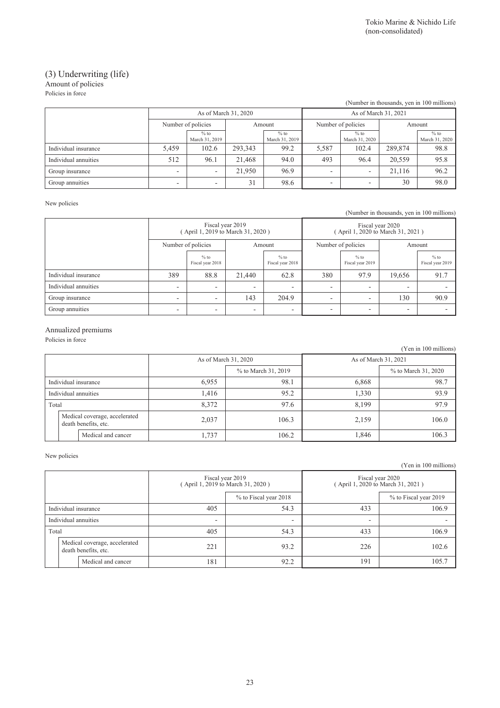### (3) Underwriting (life) Amount of policies

Policies in force

| (Number in thousands, yen in 100 millions) |                          |                              |         |                          |                              |                          |         |                          |
|--------------------------------------------|--------------------------|------------------------------|---------|--------------------------|------------------------------|--------------------------|---------|--------------------------|
|                                            |                          | As of March 31, 2020         |         |                          | As of March 31, 2021         |                          |         |                          |
|                                            |                          | Number of policies<br>Amount |         |                          | Number of policies<br>Amount |                          |         |                          |
|                                            |                          | $%$ to<br>March 31, 2019     |         | $%$ to<br>March 31, 2019 |                              | $%$ to<br>March 31, 2020 |         | $%$ to<br>March 31, 2020 |
| Individual insurance                       | 5,459                    | 102.6                        | 293,343 | 99.2                     | 5,587                        | 102.4                    | 289,874 | 98.8                     |
| Individual annuities                       | 512                      | 96.1                         | 21,468  | 94.0                     | 493                          | 96.4                     | 20,559  | 95.8                     |
| Group insurance                            | $\overline{\phantom{0}}$ |                              | 21.950  | 96.9                     |                              |                          | 21.116  | 96.2                     |
| Group annuities                            | -                        |                              | 31      | 98.6                     |                              |                          | 30      | 98.0                     |

#### New policies

(Number in thousands, yen in 100 millions)

|                      |                          | Fiscal year 2019<br>(April 1, 2019 to March 31, 2020) |                          |                            |                    | Fiscal year 2020<br>(April 1, 2020 to March 31, 2021) |                          |                            |  |
|----------------------|--------------------------|-------------------------------------------------------|--------------------------|----------------------------|--------------------|-------------------------------------------------------|--------------------------|----------------------------|--|
|                      | Number of policies       |                                                       | Amount                   |                            | Number of policies |                                                       |                          | Amount                     |  |
|                      |                          | $%$ to<br>Fiscal year 2018                            |                          | $%$ to<br>Fiscal year 2018 |                    | $%$ to<br>Fiscal year 2019                            |                          | $%$ to<br>Fiscal year 2019 |  |
| Individual insurance | 389                      | 88.8                                                  | 21,440                   | 62.8                       | 380                | 97.9                                                  | 19,656                   | 91.7                       |  |
| Individual annuities | ۰                        | $\overline{\phantom{0}}$                              | -                        | $\overline{\phantom{0}}$   | ٠                  | $\overline{\phantom{0}}$                              | $\overline{\phantom{0}}$ |                            |  |
| Group insurance      | $\overline{\phantom{0}}$ | $\overline{\phantom{0}}$                              | 143                      | 204.9                      | ٠                  | $\overline{\phantom{0}}$                              | 130                      | 90.9                       |  |
| Group annuities      |                          |                                                       | $\overline{\phantom{0}}$ | $\overline{\phantom{a}}$   |                    | -                                                     | $\overline{\phantom{0}}$ |                            |  |

### Annualized premiums

Policies in force

|                      |  |                                                       |                      |                     |       | (Yen in 100 millions) |
|----------------------|--|-------------------------------------------------------|----------------------|---------------------|-------|-----------------------|
| As of March 31, 2020 |  |                                                       | As of March 31, 2021 |                     |       |                       |
|                      |  |                                                       |                      | % to March 31, 2019 |       | % to March 31, 2020   |
| Individual insurance |  |                                                       | 6,955                | 98.1                | 6,868 | 98.7                  |
| Individual annuities |  |                                                       | 1.416                | 95.2                | 1,330 | 93.9                  |
| Total                |  |                                                       | 8,372                | 97.6                | 8,199 | 97.9                  |
|                      |  | Medical coverage, accelerated<br>death benefits, etc. | 2,037                | 106.3               | 2,159 | 106.0                 |
|                      |  | Medical and cancer                                    | 1,737                | 106.2               | 1,846 | 106.3                 |

New policies

(Yen in 100 millions)

|                                                       |                    |                          | Fiscal year 2019<br>(April 1, 2019 to March 31, 2020) | Fiscal year 2020<br>(April 1, 2020 to March 31, 2021) |                       |  |
|-------------------------------------------------------|--------------------|--------------------------|-------------------------------------------------------|-------------------------------------------------------|-----------------------|--|
|                                                       |                    |                          | % to Fiscal year 2018                                 |                                                       | % to Fiscal year 2019 |  |
| Individual insurance                                  |                    | 405                      | 54.3                                                  | 433                                                   | 106.9                 |  |
| Individual annuities                                  |                    | $\overline{\phantom{0}}$ | $\overline{\phantom{a}}$                              | $\overline{\phantom{0}}$                              |                       |  |
| Total                                                 |                    | 405                      | 54.3                                                  | 433                                                   | 106.9                 |  |
| Medical coverage, accelerated<br>death benefits, etc. |                    | 221                      | 93.2                                                  | 226                                                   | 102.6                 |  |
|                                                       | Medical and cancer | 181                      | 92.2                                                  | 191                                                   | 105.7                 |  |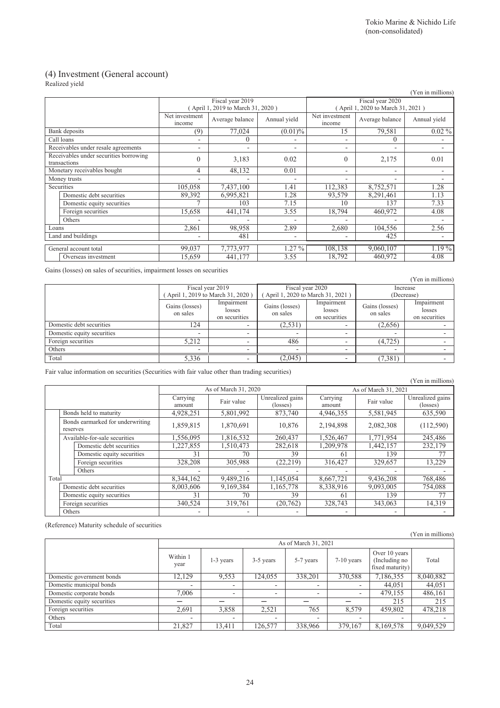$(x - 1)$  millions)

### (4) Investment (General account)

Realized yield

|                                                        |                                     |                          |                                                       |                          |                                                      |                          | (Yen in millions) |  |
|--------------------------------------------------------|-------------------------------------|--------------------------|-------------------------------------------------------|--------------------------|------------------------------------------------------|--------------------------|-------------------|--|
|                                                        |                                     |                          | Fiscal year 2019<br>(April 1, 2019 to March 31, 2020) |                          | Fiscal year 2020<br>April 1, 2020 to March 31, 2021) |                          |                   |  |
|                                                        |                                     | Net investment<br>income | Average balance                                       | Annual vield             | Net investment<br>income                             | Average balance          | Annual yield      |  |
|                                                        | Bank deposits                       | (9)                      | 77,024                                                | $(0.01)\%$               | 15                                                   | 79,581                   | $0.02\%$          |  |
|                                                        | Call loans                          | $\overline{\phantom{a}}$ | 0                                                     |                          | $\overline{\phantom{a}}$                             | 0                        |                   |  |
|                                                        | Receivables under resale agreements | ۰                        | ٠                                                     | ٠                        | ٠                                                    | ۰                        |                   |  |
| Receivables under securities borrowing<br>transactions |                                     | $\theta$                 | 3,183                                                 | 0.02                     | $\theta$                                             | 2,175                    | 0.01              |  |
| Monetary receivables bought                            |                                     | 4                        | 48,132                                                | 0.01                     | $\overline{\phantom{a}}$                             | Ξ.                       |                   |  |
| Money trusts                                           |                                     | $\overline{\phantom{0}}$ | ٠                                                     |                          | $\overline{\phantom{0}}$                             | $\overline{\phantom{0}}$ |                   |  |
|                                                        | Securities                          | 105,058                  | 7,437,100                                             | 1.41                     | 112,383                                              | 8,752,571                | 1.28              |  |
|                                                        | Domestic debt securities            | 89,392                   | 6,995,821                                             | 1.28                     | 93,579                                               | 8,291,461                | 1.13              |  |
|                                                        | Domestic equity securities          |                          | 103                                                   | 7.15                     | 10                                                   | 137                      | 7.33              |  |
|                                                        | Foreign securities                  | 15,658                   | 441,174                                               | 3.55                     | 18,794                                               | 460,972                  | 4.08              |  |
|                                                        | Others                              |                          |                                                       |                          |                                                      |                          |                   |  |
| Loans                                                  |                                     | 2,861                    | 98,958                                                | 2.89                     | 2,680                                                | 104,556                  | 2.56              |  |
| Land and buildings                                     |                                     | ٠                        | 481                                                   | $\overline{\phantom{0}}$ |                                                      | 425                      |                   |  |
|                                                        | General account total               | 99,037                   | 7,773,977                                             | $1.27\%$                 | 108,138                                              | 9,060,107                | 1.19%             |  |
|                                                        | Overseas investment                 | 15,659                   | 441,177                                               | 3.55                     | 18,792                                               | 460,972                  | 4.08              |  |

Gains (losses) on sales of securities, impairment losses on securities

(Yen in millions) Fiscal year 2019 ( April 1, 2019 to March 31, 2020 ) Fiscal year 2020 ( April 1, 2020 to March 31, 2021 ) Increase (Decrease) Gains (losses) on sales Impairment losses on securities Gains (losses) on sales Impairment losses on securities Gains (losses) on sales Impairment losses on securities Domestic debt securities 124 - (2,531) - (2,656) Domestic equity securities - - - - - - Foreign securities 5,212 - 486 - (4,725) - (1,725) - (1,725) - (1,725) - (1,725) - (1,725) - (1,725) - (1,725) - (1,725) - (1,125) - (1,125) - (1,125) - (1,125) - (1,125) - (1,125) - (1,125) - (1,125) - (1,125) - (1,125) -Others **Communication Communication**  $\begin{bmatrix} 1 & 1 & 1 \\ 1 & 1 & 1 \end{bmatrix}$  . The communication of the communication of the communication of the communication of the communication of the communication of the communication of the Total 5,336 - (2,045) - (7,381) -

Fair value information on securities (Securities with fair value other than trading securities)

|       |                                              |                            |                          |                          |                              |                          |                          | (Yen in millions)            |  |
|-------|----------------------------------------------|----------------------------|--------------------------|--------------------------|------------------------------|--------------------------|--------------------------|------------------------------|--|
|       |                                              |                            |                          | As of March 31, 2020     |                              | As of March 31, 2021     |                          |                              |  |
|       |                                              |                            | Carrying<br>amount       | Fair value               | Unrealized gains<br>(losses) | Carrying<br>amount       | Fair value               | Unrealized gains<br>(losses) |  |
|       |                                              | Bonds held to maturity     | 4,928,251                | 5,801,992                | 873,740                      | 4,946,355                | 5,581,945                | 635,590                      |  |
|       | Bonds earmarked for underwriting<br>reserves |                            | 1,859,815                | 1,870,691                | 10,876                       | 2,194,898                | 2,082,308                | (112, 590)                   |  |
|       | Available-for-sale securities                |                            | 1,556,095                | 1,816,532                | 260,437                      | 1,526,467                | 1.771.954                | 245,486                      |  |
|       |                                              | Domestic debt securities   | 1,227,855                | 1,510,473                | 282,618                      | 1,209,978                | 1,442,157                | 232,179                      |  |
|       |                                              | Domestic equity securities | 31                       | 70                       | 39                           | 61                       | 139                      | 77                           |  |
|       |                                              | Foreign securities         | 328,208                  | 305,988                  | (22, 219)                    | 316.427                  | 329,657                  | 13,229                       |  |
|       |                                              | Others                     | $\overline{\phantom{0}}$ | $\overline{\phantom{0}}$ | $\overline{\phantom{0}}$     | $\overline{\phantom{0}}$ | $\overline{\phantom{0}}$ |                              |  |
| Total |                                              |                            | 8,344,162                | 9,489,216                | 1,145,054                    | 8,667,721                | 9,436,208                | 768,486                      |  |
|       | Domestic debt securities                     |                            | 8,003,606                | 9,169,384                | 1,165,778                    | 8,338,916                | 9,093,005                | 754,088                      |  |
|       |                                              | Domestic equity securities | 31                       | 70                       | 39                           | 61                       | 139                      | 77                           |  |
|       |                                              | Foreign securities         | 340,524                  | 319.761                  | (20, 762)                    | 328,743                  | 343,063                  | 14,319                       |  |
|       | Others                                       |                            | $\overline{\phantom{0}}$ |                          | ۰                            |                          |                          |                              |  |

(Reference) Maturity schedule of securities

|                            |                          |                          |                          |                          |              |                                                   | r en in millions) |  |  |  |
|----------------------------|--------------------------|--------------------------|--------------------------|--------------------------|--------------|---------------------------------------------------|-------------------|--|--|--|
|                            |                          | As of March 31, 2021     |                          |                          |              |                                                   |                   |  |  |  |
|                            | Within 1<br>year         | $1-3$ years              | 3-5 years                | 5-7 years                | $7-10$ years | Over 10 years<br>(Including no<br>fixed maturity) | Total             |  |  |  |
| Domestic government bonds  | 12,129                   | 9,553                    | 124,055                  | 338,201                  | 370,588      | 7,186,355                                         | 8,040,882         |  |  |  |
| Domestic municipal bonds   | -                        | ۰                        | ۰                        |                          | ٠            | 44,051                                            | 44,051            |  |  |  |
| Domestic corporate bonds   | 7.006                    | $\overline{\phantom{0}}$ | -                        | -                        | -            | 479,155                                           | 486,161           |  |  |  |
| Domestic equity securities |                          |                          |                          |                          |              | 215                                               | 215               |  |  |  |
| Foreign securities         | 2.691                    | 3,858                    | 2,521                    | 765                      | 8,579        | 459,802                                           | 478,218           |  |  |  |
| Others                     | $\overline{\phantom{a}}$ | $\overline{\phantom{0}}$ | $\overline{\phantom{0}}$ | $\overline{\phantom{0}}$ | -            | $\overline{\phantom{a}}$                          |                   |  |  |  |
| Total                      | 21,827                   | 13,411                   | 126,577                  | 338,966                  | 379,167      | 8,169,578                                         | 9,049,529         |  |  |  |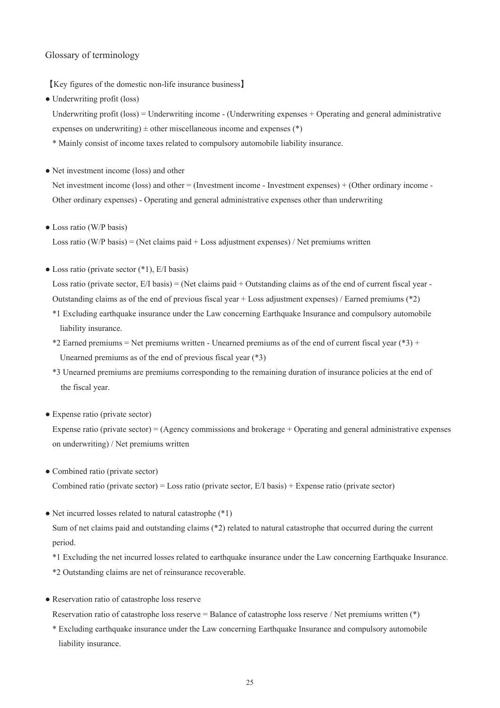### Glossary of terminology

【Key figures of the domestic non-life insurance business】

• Underwriting profit (loss)

Underwriting profit (loss) = Underwriting income - (Underwriting expenses + Operating and general administrative expenses on underwriting)  $\pm$  other miscellaneous income and expenses (\*)

- \* Mainly consist of income taxes related to compulsory automobile liability insurance.
- Net investment income (loss) and other

Net investment income (loss) and other = (Investment income - Investment expenses) + (Other ordinary income - Other ordinary expenses) - Operating and general administrative expenses other than underwriting

• Loss ratio (W/P basis)

Loss ratio (W/P basis) = (Net claims paid + Loss adjustment expenses) / Net premiums written

 $\bullet$  Loss ratio (private sector  $(*1)$ , E/I basis)

Loss ratio (private sector,  $E/I$  basis) = (Net claims paid + Outstanding claims as of the end of current fiscal year -Outstanding claims as of the end of previous fiscal year + Loss adjustment expenses) / Earned premiums (\*2)

- \*1 Excluding earthquake insurance under the Law concerning Earthquake Insurance and compulsory automobile liability insurance.
- \*2 Earned premiums = Net premiums written Unearned premiums as of the end of current fiscal year (\*3) + Unearned premiums as of the end of previous fiscal year (\*3)
- \*3 Unearned premiums are premiums corresponding to the remaining duration of insurance policies at the end of the fiscal year.
- Expense ratio (private sector)

period.

Expense ratio (private sector) = (Agency commissions and brokerage + Operating and general administrative expenses on underwriting) / Net premiums written

- Combined ratio (private sector) Combined ratio (private sector) = Loss ratio (private sector,  $E/I$  basis) + Expense ratio (private sector)
- Net incurred losses related to natural catastrophe (\*1) Sum of net claims paid and outstanding claims (\*2) related to natural catastrophe that occurred during the current

\*1 Excluding the net incurred losses related to earthquake insurance under the Law concerning Earthquake Insurance. \*2 Outstanding claims are net of reinsurance recoverable.

● Reservation ratio of catastrophe loss reserve

Reservation ratio of catastrophe loss reserve = Balance of catastrophe loss reserve / Net premiums written (\*)

\* Excluding earthquake insurance under the Law concerning Earthquake Insurance and compulsory automobile liability insurance.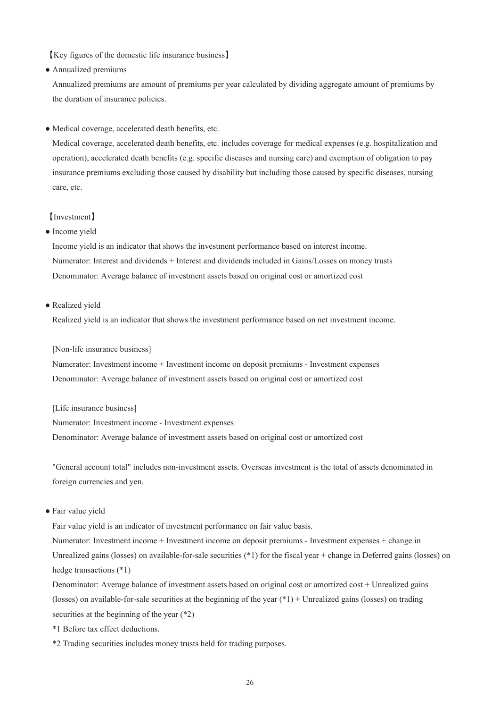【Key figures of the domestic life insurance business】

● Annualized premiums

Annualized premiums are amount of premiums per year calculated by dividing aggregate amount of premiums by the duration of insurance policies.

● Medical coverage, accelerated death benefits, etc.

Medical coverage, accelerated death benefits, etc. includes coverage for medical expenses (e.g. hospitalization and operation), accelerated death benefits (e.g. specific diseases and nursing care) and exemption of obligation to pay insurance premiums excluding those caused by disability but including those caused by specific diseases, nursing care, etc.

### 【Investment】

• Income yield

Income yield is an indicator that shows the investment performance based on interest income. Numerator: Interest and dividends + Interest and dividends included in Gains/Losses on money trusts Denominator: Average balance of investment assets based on original cost or amortized cost

• Realized yield

Realized yield is an indicator that shows the investment performance based on net investment income.

[Non-life insurance business]

Numerator: Investment income + Investment income on deposit premiums - Investment expenses Denominator: Average balance of investment assets based on original cost or amortized cost

[Life insurance business]

Numerator: Investment income - Investment expenses Denominator: Average balance of investment assets based on original cost or amortized cost

"General account total" includes non-investment assets. Overseas investment is the total of assets denominated in foreign currencies and yen.

● Fair value yield

Fair value yield is an indicator of investment performance on fair value basis. Numerator: Investment income + Investment income on deposit premiums - Investment expenses + change in Unrealized gains (losses) on available-for-sale securities (\*1) for the fiscal year + change in Deferred gains (losses) on hedge transactions (\*1)

Denominator: Average balance of investment assets based on original cost or amortized cost + Unrealized gains (losses) on available-for-sale securities at the beginning of the year  $(*1)$  + Unrealized gains (losses) on trading securities at the beginning of the year (\*2)

\*1 Before tax effect deductions.

\*2 Trading securities includes money trusts held for trading purposes.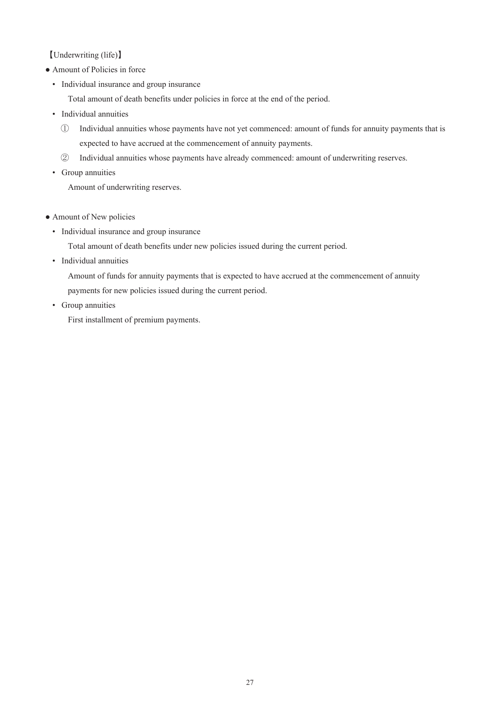【Underwriting (life)】

- Amount of Policies in force
	- Individual insurance and group insurance

Total amount of death benefits under policies in force at the end of the period.

- Individual annuities
	- ① Individual annuities whose payments have not yet commenced: amount of funds for annuity payments that is expected to have accrued at the commencement of annuity payments.
	- ② Individual annuities whose payments have already commenced: amount of underwriting reserves.
- Group annuities

Amount of underwriting reserves.

- Amount of New policies
	- Individual insurance and group insurance

Total amount of death benefits under new policies issued during the current period.

• Individual annuities

Amount of funds for annuity payments that is expected to have accrued at the commencement of annuity payments for new policies issued during the current period.

• Group annuities

First installment of premium payments.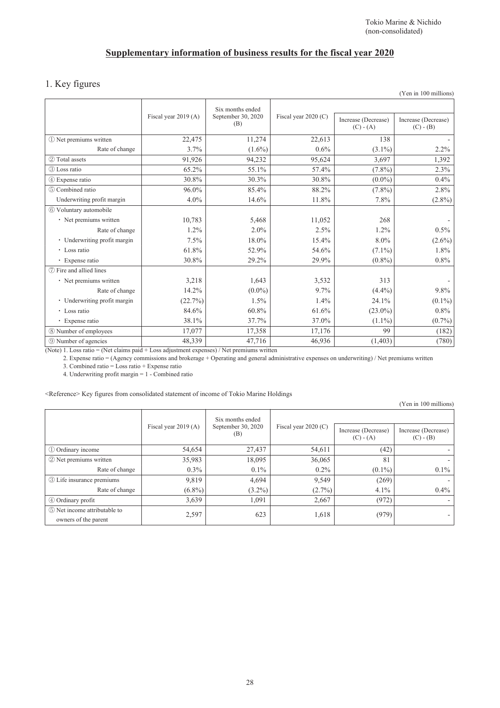## **Supplementary information of business results for the fiscal year 2020**

## 1. Key figures

|                              |                      |                                               |                        |                                    | (Yen in 100 millions)              |
|------------------------------|----------------------|-----------------------------------------------|------------------------|------------------------------------|------------------------------------|
|                              | Fiscal year 2019 (A) | Six months ended<br>September 30, 2020<br>(B) | Fiscal year $2020$ (C) | Increase (Decrease)<br>$(C) - (A)$ | Increase (Decrease)<br>$(C) - (B)$ |
| 10 Net premiums written      | 22,475               | 11,274                                        | 22,613                 | 138                                |                                    |
| Rate of change               | 3.7%                 | $(1.6\%)$                                     | 0.6%                   | $(3.1\%)$                          | 2.2%                               |
| 2 Total assets               | 91,926               | 94,232                                        | 95,624                 | 3,697                              | 1,392                              |
| 3 Loss ratio                 | 65.2%                | 55.1%                                         | 57.4%                  | $(7.8\%)$                          | 2.3%                               |
| 4 Expense ratio              | 30.8%                | 30.3%                                         | 30.8%                  | $(0.0\%)$                          | $0.4\%$                            |
| (5) Combined ratio           | 96.0%                | 85.4%                                         | 88.2%                  | $(7.8\%)$                          | 2.8%                               |
| Underwriting profit margin   | $4.0\%$              | 14.6%                                         | 11.8%                  | 7.8%                               | $(2.8\%)$                          |
| 6 Voluntary automobile       |                      |                                               |                        |                                    |                                    |
| • Net premiums written       | 10,783               | 5,468                                         | 11,052                 | 268                                |                                    |
| Rate of change               | 1.2%                 | 2.0%                                          | 2.5%                   | $1.2\%$                            | $0.5\%$                            |
| • Underwriting profit margin | 7.5%                 | 18.0%                                         | 15.4%                  | 8.0%                               | $(2.6\%)$                          |
| • Loss ratio                 | 61.8%                | 52.9%                                         | 54.6%                  | $(7.1\%)$                          | 1.8%                               |
| • Expense ratio              | 30.8%                | 29.2%                                         | 29.9%                  | $(0.8\%)$                          | 0.8%                               |
| (7) Fire and allied lines    |                      |                                               |                        |                                    |                                    |
| · Net premiums written       | 3,218                | 1,643                                         | 3,532                  | 313                                |                                    |
| Rate of change               | 14.2%                | $(0.0\%)$                                     | 9.7%                   | $(4.4\%)$                          | 9.8%                               |
| • Underwriting profit margin | (22.7%)              | 1.5%                                          | 1.4%                   | 24.1%                              | $(0.1\%)$                          |
| • Loss ratio                 | 84.6%                | 60.8%                                         | 61.6%                  | $(23.0\%)$                         | 0.8%                               |
| • Expense ratio              | 38.1%                | 37.7%                                         | 37.0%                  | $(1.1\%)$                          | $(0.7\%)$                          |
| 8 Number of employees        | 17,077               | 17,358                                        | 17,176                 | 99                                 | (182)                              |
| <b>9 Number of agencies</b>  | 48,339               | 47,716                                        | 46,936                 | (1, 403)                           | (780)                              |

(Note) 1. Loss ratio = (Net claims paid + Loss adjustment expenses) / Net premiums written

2. Expense ratio = (Agency commissions and brokerage + Operating and general administrative expenses on underwriting) / Net premiums written

3. Combined ratio = Loss ratio + Expense ratio

4. Underwriting profit margin = 1 - Combined ratio

<Reference> Key figures from consolidated statement of income of Tokio Marine Holdings

(Yen in 100 millions)

|                                                      | Fiscal year 2019 (A) | Six months ended<br>September 30, 2020<br>(B) | Fiscal year $2020$ (C) | Increase (Decrease)<br>$(C) - (A)$ | Increase (Decrease)<br>$(C) - (B)$ |
|------------------------------------------------------|----------------------|-----------------------------------------------|------------------------|------------------------------------|------------------------------------|
|                                                      |                      |                                               |                        |                                    |                                    |
| 1 Ordinary income                                    | 54,654               | 27,437                                        | 54,611                 | (42)                               |                                    |
| 2 Net premiums written                               | 35,983               | 18,095                                        | 36,065                 | 81                                 |                                    |
| Rate of change                                       | $0.3\%$              | $0.1\%$                                       | $0.2\%$                | $(0.1\%)$                          | $0.1\%$                            |
| <b>3</b> Life insurance premiums                     | 9,819                | 4,694                                         | 9,549                  | (269)                              |                                    |
| Rate of change                                       | $(6.8\%)$            | $(3.2\%)$                                     | $(2.7\%)$              | $4.1\%$                            | $0.4\%$                            |
| 4 Ordinary profit                                    | 3,639                | 1,091                                         | 2,667                  | (972)                              |                                    |
| 5 Net income attributable to<br>owners of the parent | 2,597                | 623                                           | 1,618                  | (979)                              |                                    |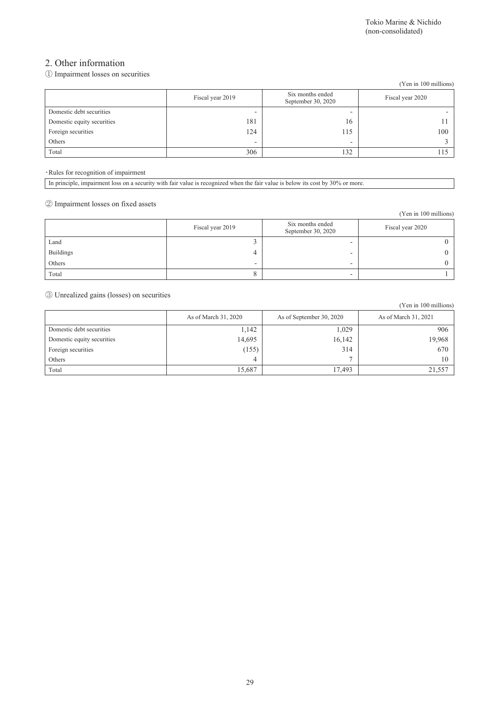### 2. Other information

### ① Impairment losses on securities

|                            |                  |                                        | (Yen in 100 millions) |
|----------------------------|------------------|----------------------------------------|-----------------------|
|                            | Fiscal year 2019 | Six months ended<br>September 30, 2020 | Fiscal year 2020      |
| Domestic debt securities   | -                | -                                      |                       |
| Domestic equity securities | 181              | 16                                     |                       |
| Foreign securities         | 124              | 15                                     | 100                   |
| Others                     | -                | -                                      |                       |
| Total                      | 306              | 132                                    | 115                   |

・Rules for recognition of impairment

|  |  | In principle, impairment loss on a security with fair value is recognized when the fair value is below its cost by 30% or more. |
|--|--|---------------------------------------------------------------------------------------------------------------------------------|
|  |  |                                                                                                                                 |

② Impairment losses on fixed assets

|                  |                  |                                        | (Yen in 100 millions) |
|------------------|------------------|----------------------------------------|-----------------------|
|                  | Fiscal year 2019 | Six months ended<br>September 30, 2020 | Fiscal year 2020      |
| Land             |                  |                                        |                       |
| <b>Buildings</b> | 4                |                                        |                       |
| Others           | ۰                | -                                      |                       |
| Total            |                  |                                        |                       |

③ Unrealized gains (losses) on securities

|                            |                      |                          | (Yen in 100 millions) |
|----------------------------|----------------------|--------------------------|-----------------------|
|                            | As of March 31, 2020 | As of September 30, 2020 | As of March 31, 2021  |
| Domestic debt securities   | 1,142                | 1,029                    | 906                   |
| Domestic equity securities | 14,695               | 16,142                   | 19,968                |
| Foreign securities         | (155)                | 314                      | 670                   |
| Others                     | 4                    |                          | 10                    |
| Total                      | 15,687               | 17,493                   | 21,557                |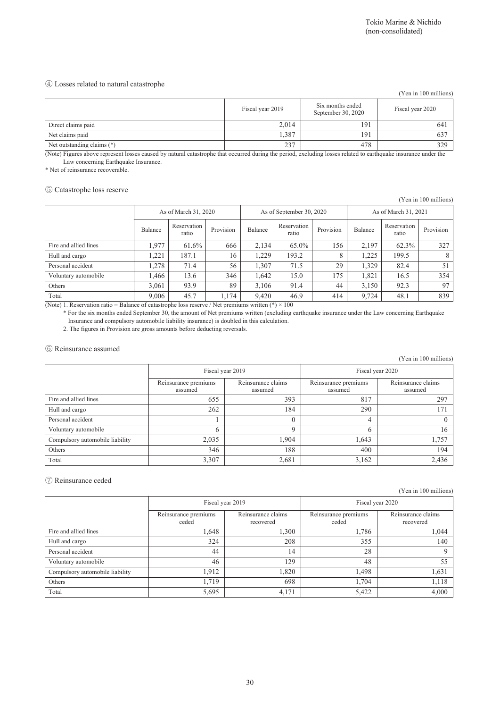### ④ Losses related to natural catastrophe

|                            |                  |                                        | (Yen in 100 millions) |
|----------------------------|------------------|----------------------------------------|-----------------------|
|                            | Fiscal year 2019 | Six months ended<br>September 30, 2020 | Fiscal year 2020      |
| Direct claims paid         | 2,014            | 191                                    | 64 <sup>2</sup>       |
| Net claims paid            | 1,387            | 191                                    | 637                   |
| Net outstanding claims (*) | 237              | 478                                    | 329                   |

(Note) Figures above represent losses caused by natural catastrophe that occurred during the period, excluding losses related to earthquake insurance under the Law concerning Earthquake Insurance.

\* Net of reinsurance recoverable.

### ⑤ Catastrophe loss reserve

(Yen in 100 millions)

|                       | As of March 31, 2020 |                      |           | As of September 30, 2020 |                      | As of March 31, 2021 |         |                      |           |
|-----------------------|----------------------|----------------------|-----------|--------------------------|----------------------|----------------------|---------|----------------------|-----------|
|                       | Balance              | Reservation<br>ratio | Provision | Balance                  | Reservation<br>ratio | Provision            | Balance | Reservation<br>ratio | Provision |
| Fire and allied lines | 1.977                | 61.6%                | 666       | 2.134                    | 65.0%                | 156                  | 2.197   | 62.3%                | 327       |
| Hull and cargo        | .221                 | 187.1                | 16        | 1.229                    | 193.2                | 8                    | .225    | 199.5                | 8         |
| Personal accident     | 1.278                | 71.4                 | 56        | 1.307                    | 71.5                 | 29                   | 1.329   | 82.4                 | 51        |
| Voluntary automobile  | 1.466                | 13.6                 | 346       | 1.642                    | 15.0                 | 175                  | 1.821   | 16.5                 | 354       |
| Others                | 3,061                | 93.9                 | 89        | 3.106                    | 91.4                 | 44                   | 3,150   | 92.3                 | 97        |
| Total<br>_ _          | 9,006                | 45.7                 | 1,174     | 9,420                    | 46.9                 | 414                  | 9,724   | 48.1                 | 839       |

(Note) 1. Reservation ratio = Balance of catastrophe loss reserve / Net premiums written (\*)  $\times$  100 \* For the six months ended September 30, the amount of Net premiums written (excluding earthquake insurance under the Law concerning Earthquake Insurance and compulsory automobile liability insurance) is doubled in this calculation.

2. The figures in Provision are gross amounts before deducting reversals.

### ⑥ Reinsurance assumed

(Yen in 100 millions)

|                                 | Fiscal year 2019                |                               | Fiscal year 2020                |                               |  |
|---------------------------------|---------------------------------|-------------------------------|---------------------------------|-------------------------------|--|
|                                 | Reinsurance premiums<br>assumed | Reinsurance claims<br>assumed | Reinsurance premiums<br>assumed | Reinsurance claims<br>assumed |  |
| Fire and allied lines           | 655                             | 393                           | 817                             | 297                           |  |
| Hull and cargo                  | 262                             | 184                           | 290                             | 171                           |  |
| Personal accident               |                                 |                               | 4                               |                               |  |
| Voluntary automobile            |                                 |                               |                                 | 16                            |  |
| Compulsory automobile liability | 2,035                           | 1.904                         | 1,643                           | 1,757                         |  |
| Others                          | 346                             | 188                           | 400                             | 194                           |  |
| Total                           | 3,307                           | 2,681                         | 3,162                           | 2,436                         |  |

#### ⑦ Reinsurance ceded

(Yen in 100 millions)

|                                 | Fiscal year 2019              |                                 | Fiscal year 2020              |                                 |  |
|---------------------------------|-------------------------------|---------------------------------|-------------------------------|---------------------------------|--|
|                                 | Reinsurance premiums<br>ceded | Reinsurance claims<br>recovered | Reinsurance premiums<br>ceded | Reinsurance claims<br>recovered |  |
| Fire and allied lines           | 1,648                         | 1,300                           | 1,786                         | 1,044                           |  |
| Hull and cargo                  | 324                           | 208                             | 355                           | 140                             |  |
| Personal accident               | 44                            | 14                              | 28                            |                                 |  |
| Voluntary automobile            | 46                            | 129                             | 48                            | 55                              |  |
| Compulsory automobile liability | 1,912                         | 1,820                           | 1,498                         | 1,631                           |  |
| Others                          | 1,719                         | 698                             | 1.704                         | 1,118                           |  |
| Total                           | 5,695                         | 4,171                           | 5,422                         | 4,000                           |  |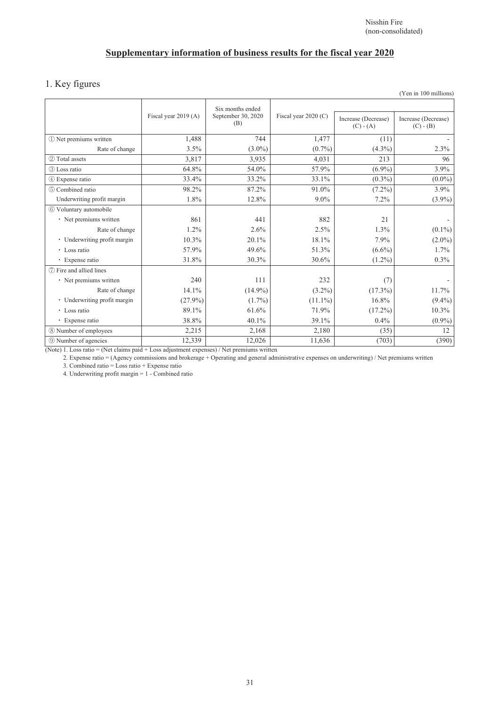## **Supplementary information of business results for the fiscal year 2020**

## 1. Key figures

|                              |                      |                                               |                        |                                    | $(1 \text{ cm m} 100 \text{ min} 100)$ |
|------------------------------|----------------------|-----------------------------------------------|------------------------|------------------------------------|----------------------------------------|
|                              | Fiscal year 2019 (A) | Six months ended<br>September 30, 2020<br>(B) | Fiscal year $2020$ (C) | Increase (Decrease)<br>$(C) - (A)$ | Increase (Decrease)<br>$(C) - (B)$     |
| 1) Net premiums written      | 1,488                | 744                                           | 1,477                  | (11)                               |                                        |
| Rate of change               | 3.5%                 | $(3.0\%)$                                     | $(0.7\%)$              | $(4.3\%)$                          | 2.3%                                   |
| 2 Total assets               | 3,817                | 3,935                                         | 4,031                  | 213                                | 96                                     |
| 3 Loss ratio                 | 64.8%                | 54.0%                                         | 57.9%                  | $(6.9\%)$                          | 3.9%                                   |
| 4 Expense ratio              | 33.4%                | 33.2%                                         | 33.1%                  | $(0.3\%)$                          | $(0.0\%)$                              |
| (5) Combined ratio           | 98.2%                | 87.2%                                         | 91.0%                  | $(7.2\%)$                          | 3.9%                                   |
| Underwriting profit margin   | 1.8%                 | 12.8%                                         | 9.0%                   | 7.2%                               | $(3.9\%)$                              |
| 6 Voluntary automobile       |                      |                                               |                        |                                    |                                        |
| • Net premiums written       | 861                  | 441                                           | 882                    | 21                                 |                                        |
| Rate of change               | $1.2\%$              | 2.6%                                          | 2.5%                   | 1.3%                               | $(0.1\%)$                              |
| • Underwriting profit margin | 10.3%                | 20.1%                                         | 18.1%                  | 7.9%                               | $(2.0\%)$                              |
| • Loss ratio                 | 57.9%                | 49.6%                                         | 51.3%                  | $(6.6\%)$                          | 1.7%                                   |
| • Expense ratio              | 31.8%                | 30.3%                                         | 30.6%                  | $(1.2\%)$                          | $0.3\%$                                |
| (7) Fire and allied lines    |                      |                                               |                        |                                    |                                        |
| • Net premiums written       | 240                  | 111                                           | 232                    | (7)                                |                                        |
| Rate of change               | 14.1%                | $(14.9\%)$                                    | $(3.2\%)$              | $(17.3\%)$                         | 11.7%                                  |
| · Underwriting profit margin | $(27.9\%)$           | $(1.7\%)$                                     | $(11.1\%)$             | 16.8%                              | $(9.4\%)$                              |
| • Loss ratio                 | 89.1%                | 61.6%                                         | 71.9%                  | $(17.2\%)$                         | 10.3%                                  |
| • Expense ratio              | 38.8%                | 40.1%                                         | 39.1%                  | 0.4%                               | $(0.9\%)$                              |
| 8 Number of employees        | 2,215                | 2,168                                         | 2,180                  | (35)                               | 12                                     |
| <b>9 Number of agencies</b>  | 12,339               | 12,026                                        | 11,636                 | (703)                              | (390)                                  |

(Note) 1. Loss ratio = (Net claims paid + Loss adjustment expenses) / Net premiums written

2. Expense ratio = (Agency commissions and brokerage + Operating and general administrative expenses on underwriting) / Net premiums written

3. Combined ratio = Loss ratio + Expense ratio

4. Underwriting profit margin = 1 - Combined ratio

(Yen in 100 millions)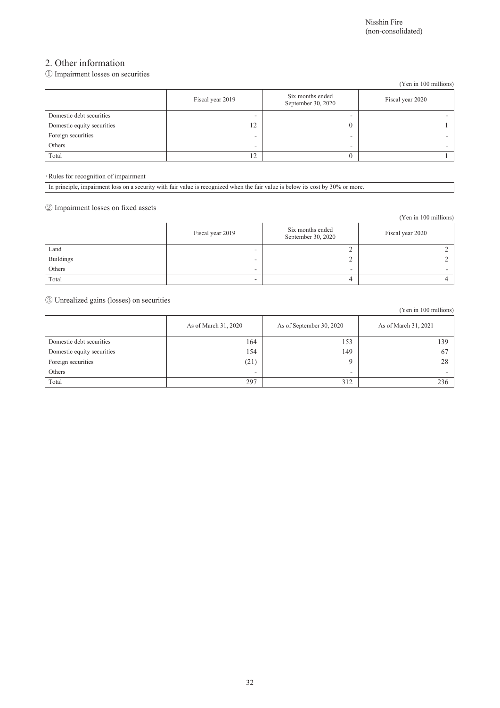(Yen in 100 millions)

### 2. Other information

### ① Impairment losses on securities

|                            |                  |                                        | (Yen in 100 millions) |
|----------------------------|------------------|----------------------------------------|-----------------------|
|                            | Fiscal year 2019 | Six months ended<br>September 30, 2020 | Fiscal year 2020      |
| Domestic debt securities   | -                | -                                      |                       |
| Domestic equity securities | 12               |                                        |                       |
| Foreign securities         | -                |                                        |                       |
| Others                     | -                | -                                      |                       |
| Total                      | 12               |                                        |                       |

・Rules for recognition of impairment

In principle, impairment loss on a security with fair value is recognized when the fair value is below its cost by 30% or more.

### ② Impairment losses on fixed assets

|                  |                  |                                        | (Yen in 100 millions) |
|------------------|------------------|----------------------------------------|-----------------------|
|                  | Fiscal year 2019 | Six months ended<br>September 30, 2020 | Fiscal year 2020      |
| Land             | -                | ∼                                      |                       |
| <b>Buildings</b> | -                | ∠                                      |                       |
| Others           | ۰                | -                                      |                       |
| Total            | -                | 4                                      |                       |

③ Unrealized gains (losses) on securities

|                            | As of March 31, 2020     | As of September 30, 2020 | As of March 31, 2021     |
|----------------------------|--------------------------|--------------------------|--------------------------|
| Domestic debt securities   | 164                      | 153                      | 139                      |
| Domestic equity securities | 154                      | 149                      | 67                       |
| Foreign securities         | (21)                     | Q                        | 28                       |
| Others                     | $\overline{\phantom{a}}$ | -                        | $\overline{\phantom{a}}$ |
| Total                      | 297                      | 312                      | 236                      |